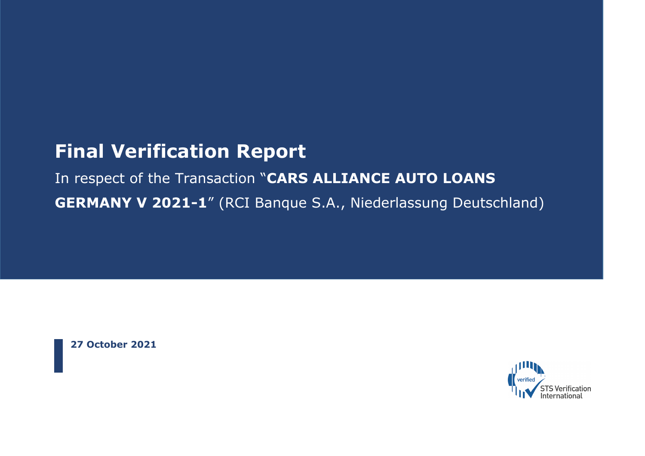# **Final Verification Report**

# In respect of the Transaction "**CARS ALLIANCE AUTO LOANS GERMANY V 2021-1**" (RCI Banque S.A., Niederlassung Deutschland)

**27 October 2021**

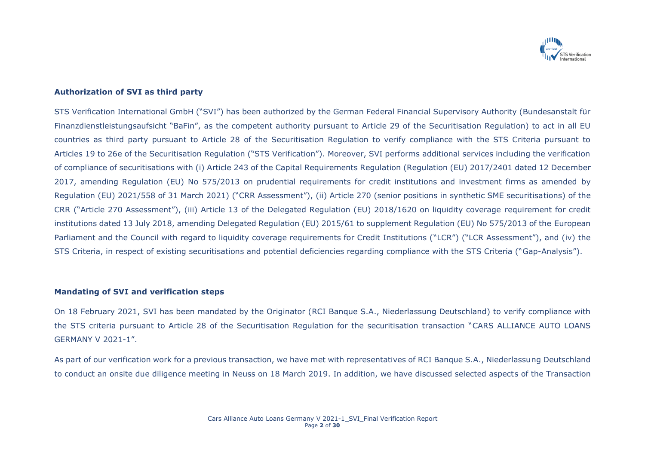

### **Authorization of SVI as third party**

STS Verification International GmbH ("SVI") has been authorized by the German Federal Financial Supervisory Authority (Bundesanstalt für Finanzdienstleistungsaufsicht "BaFin", as the competent authority pursuant to Article 29 of the Securitisation Regulation) to act in all EU countries as third party pursuant to Article 28 of the Securitisation Regulation to verify compliance with the STS Criteria pursuant to Articles 19 to 26e of the Securitisation Regulation ("STS Verification"). Moreover, SVI performs additional services including the verification of compliance of securitisations with (i) Article 243 of the Capital Requirements Regulation (Regulation (EU) 2017/2401 dated 12 December 2017, amending Regulation (EU) No 575/2013 on prudential requirements for credit institutions and investment firms as amended by Regulation (EU) 2021/558 of 31 March 2021) ("CRR Assessment"), (ii) Article 270 (senior positions in synthetic SME securitisations) of the CRR ("Article 270 Assessment"), (iii) Article 13 of the Delegated Regulation (EU) 2018/1620 on liquidity coverage requirement for credit institutions dated 13 July 2018, amending Delegated Regulation (EU) 2015/61 to supplement Regulation (EU) No 575/2013 of the European Parliament and the Council with regard to liquidity coverage requirements for Credit Institutions ("LCR") ("LCR Assessment"), and (iv) the STS Criteria, in respect of existing securitisations and potential deficiencies regarding compliance with the STS Criteria ("Gap-Analysis").

#### **Mandating of SVI and verification steps**

On 18 February 2021, SVI has been mandated by the Originator (RCI Banque S.A., Niederlassung Deutschland) to verify compliance with the STS criteria pursuant to Article 28 of the Securitisation Regulation for the securitisation transaction "CARS ALLIANCE AUTO LOANS GERMANY V 2021-1".

As part of our verification work for a previous transaction, we have met with representatives of RCI Banque S.A., Niederlassung Deutschland to conduct an onsite due diligence meeting in Neuss on 18 March 2019. In addition, we have discussed selected aspects of the Transaction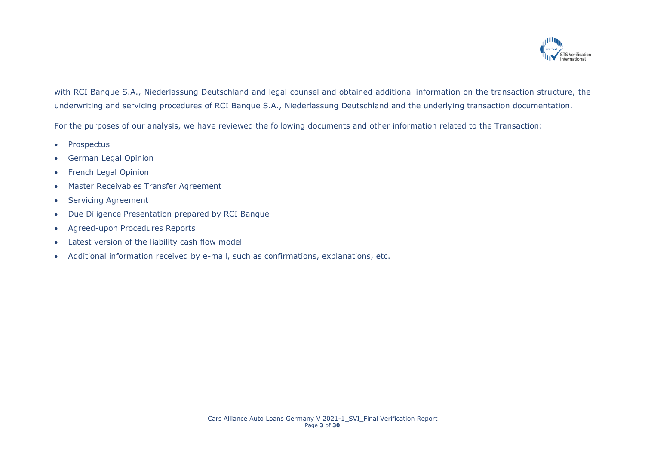

with RCI Banque S.A., Niederlassung Deutschland and legal counsel and obtained additional information on the transaction structure, the underwriting and servicing procedures of RCI Banque S.A., Niederlassung Deutschland and the underlying transaction documentation.

For the purposes of our analysis, we have reviewed the following documents and other information related to the Transaction:

- Prospectus
- German Legal Opinion
- French Legal Opinion
- Master Receivables Transfer Agreement
- Servicing Agreement
- Due Diligence Presentation prepared by RCI Banque
- Agreed-upon Procedures Reports
- Latest version of the liability cash flow model
- Additional information received by e-mail, such as confirmations, explanations, etc.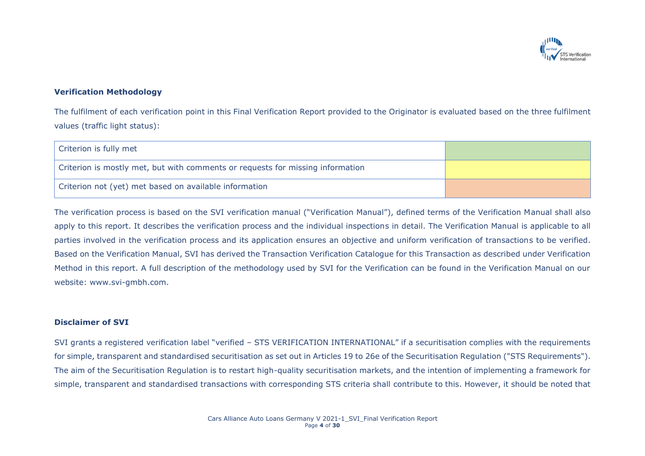

### **Verification Methodology**

The fulfilment of each verification point in this Final Verification Report provided to the Originator is evaluated based on the three fulfilment values (traffic light status):

| Criterion is fully met                                                         |  |
|--------------------------------------------------------------------------------|--|
| Criterion is mostly met, but with comments or requests for missing information |  |
| Criterion not (yet) met based on available information                         |  |

The verification process is based on the SVI verification manual ("Verification Manual"), defined terms of the Verification Manual shall also apply to this report. It describes the verification process and the individual inspections in detail. The Verification Manual is applicable to all parties involved in the verification process and its application ensures an objective and uniform verification of transactions to be verified. Based on the Verification Manual, SVI has derived the Transaction Verification Catalogue for this Transaction as described under Verification Method in this report. A full description of the methodology used by SVI for the Verification can be found in the Verification Manual on our website: www.svi-gmbh.com.

#### **Disclaimer of SVI**

SVI grants a registered verification label "verified – STS VERIFICATION INTERNATIONAL" if a securitisation complies with the requirements for simple, transparent and standardised securitisation as set out in Articles 19 to 26e of the Securitisation Regulation ("STS Requirements"). The aim of the Securitisation Regulation is to restart high-quality securitisation markets, and the intention of implementing a framework for simple, transparent and standardised transactions with corresponding STS criteria shall contribute to this. However, it should be noted that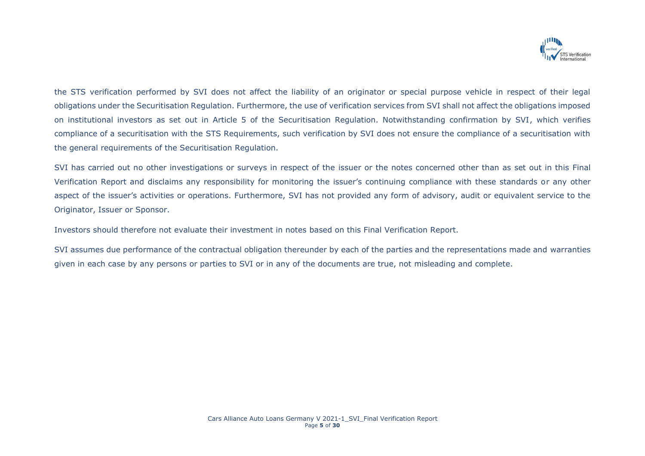

the STS verification performed by SVI does not affect the liability of an originator or special purpose vehicle in respect of their legal obligations under the Securitisation Regulation. Furthermore, the use of verification services from SVI shall not affect the obligations imposed on institutional investors as set out in Article 5 of the Securitisation Regulation. Notwithstanding confirmation by SVI, which verifies compliance of a securitisation with the STS Requirements, such verification by SVI does not ensure the compliance of a securitisation with the general requirements of the Securitisation Regulation.

SVI has carried out no other investigations or surveys in respect of the issuer or the notes concerned other than as set out in this Final Verification Report and disclaims any responsibility for monitoring the issuer's continuing compliance with these standards or any other aspect of the issuer's activities or operations. Furthermore, SVI has not provided any form of advisory, audit or equivalent service to the Originator, Issuer or Sponsor.

Investors should therefore not evaluate their investment in notes based on this Final Verification Report.

SVI assumes due performance of the contractual obligation thereunder by each of the parties and the representations made and warranties given in each case by any persons or parties to SVI or in any of the documents are true, not misleading and complete.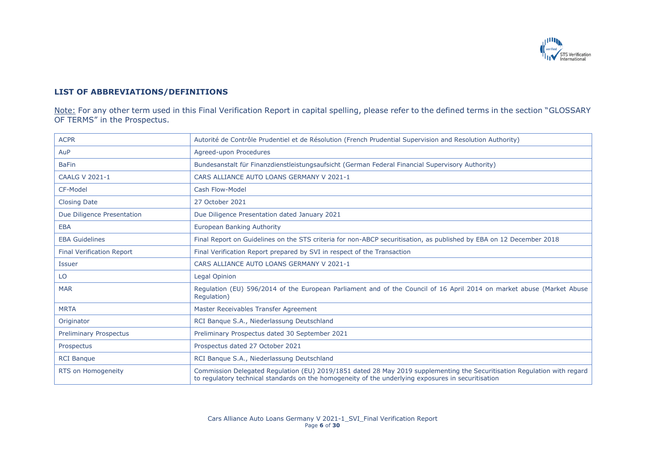

## **LIST OF ABBREVIATIONS/DEFINITIONS**

Note: For any other term used in this Final Verification Report in capital spelling, please refer to the defined terms in the section "GLOSSARY OF TERMS" in the Prospectus.

| <b>ACPR</b>                      | Autorité de Contrôle Prudentiel et de Résolution (French Prudential Supervision and Resolution Authority)                                                                                                                      |
|----------------------------------|--------------------------------------------------------------------------------------------------------------------------------------------------------------------------------------------------------------------------------|
| AuP                              | Agreed-upon Procedures                                                                                                                                                                                                         |
| <b>BaFin</b>                     | Bundesanstalt für Finanzdienstleistungsaufsicht (German Federal Financial Supervisory Authority)                                                                                                                               |
| <b>CAALG V 2021-1</b>            | CARS ALLIANCE AUTO LOANS GERMANY V 2021-1                                                                                                                                                                                      |
| CF-Model                         | Cash Flow-Model                                                                                                                                                                                                                |
| <b>Closing Date</b>              | 27 October 2021                                                                                                                                                                                                                |
| Due Diligence Presentation       | Due Diligence Presentation dated January 2021                                                                                                                                                                                  |
| <b>EBA</b>                       | European Banking Authority                                                                                                                                                                                                     |
| <b>EBA Guidelines</b>            | Final Report on Guidelines on the STS criteria for non-ABCP securitisation, as published by EBA on 12 December 2018                                                                                                            |
| <b>Final Verification Report</b> | Final Verification Report prepared by SVI in respect of the Transaction                                                                                                                                                        |
| <b>Issuer</b>                    | CARS ALLIANCE AUTO LOANS GERMANY V 2021-1                                                                                                                                                                                      |
| LO                               | Legal Opinion                                                                                                                                                                                                                  |
| <b>MAR</b>                       | Regulation (EU) 596/2014 of the European Parliament and of the Council of 16 April 2014 on market abuse (Market Abuse<br>Regulation)                                                                                           |
| <b>MRTA</b>                      | Master Receivables Transfer Agreement                                                                                                                                                                                          |
| Originator                       | RCI Banque S.A., Niederlassung Deutschland                                                                                                                                                                                     |
| <b>Preliminary Prospectus</b>    | Preliminary Prospectus dated 30 September 2021                                                                                                                                                                                 |
| Prospectus                       | Prospectus dated 27 October 2021                                                                                                                                                                                               |
| <b>RCI Banque</b>                | RCI Banque S.A., Niederlassung Deutschland                                                                                                                                                                                     |
| RTS on Homogeneity               | Commission Delegated Regulation (EU) 2019/1851 dated 28 May 2019 supplementing the Securitisation Regulation with regard<br>to regulatory technical standards on the homogeneity of the underlying exposures in securitisation |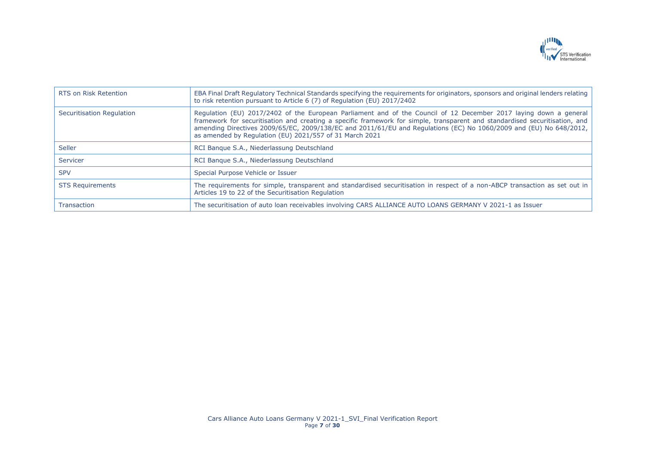

| RTS on Risk Retention     | EBA Final Draft Regulatory Technical Standards specifying the reguirements for originators, sponsors and original lenders relating<br>to risk retention pursuant to Article 6 (7) of Regulation (EU) 2017/2402                                                                                                                                                                                                                    |
|---------------------------|-----------------------------------------------------------------------------------------------------------------------------------------------------------------------------------------------------------------------------------------------------------------------------------------------------------------------------------------------------------------------------------------------------------------------------------|
| Securitisation Regulation | Regulation (EU) 2017/2402 of the European Parliament and of the Council of 12 December 2017 laying down a general<br>framework for securitisation and creating a specific framework for simple, transparent and standardised securitisation, and<br>amending Directives 2009/65/EC, 2009/138/EC and 2011/61/EU and Regulations (EC) No 1060/2009 and (EU) No 648/2012,<br>as amended by Regulation (EU) 2021/557 of 31 March 2021 |
| <b>Seller</b>             | RCI Bangue S.A., Niederlassung Deutschland                                                                                                                                                                                                                                                                                                                                                                                        |
| Servicer                  | RCI Bangue S.A., Niederlassung Deutschland                                                                                                                                                                                                                                                                                                                                                                                        |
| <b>SPV</b>                | Special Purpose Vehicle or Issuer                                                                                                                                                                                                                                                                                                                                                                                                 |
| <b>STS Requirements</b>   | The requirements for simple, transparent and standardised securitisation in respect of a non-ABCP transaction as set out in<br>Articles 19 to 22 of the Securitisation Regulation                                                                                                                                                                                                                                                 |
| <b>Transaction</b>        | The securitisation of auto loan receivables involving CARS ALLIANCE AUTO LOANS GERMANY V 2021-1 as Issuer                                                                                                                                                                                                                                                                                                                         |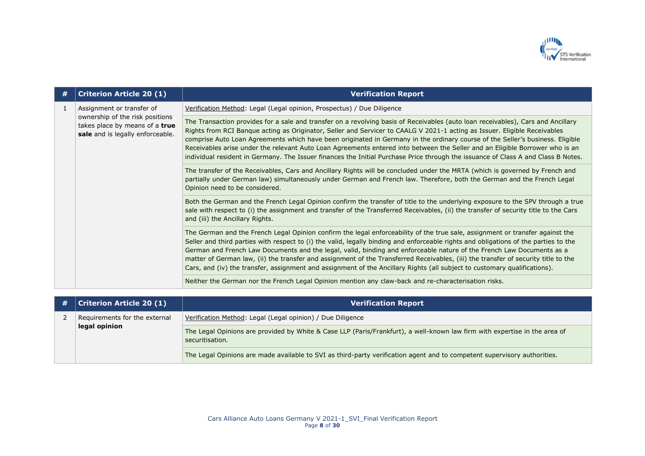

| #  | <b>Criterion Article 20 (1)</b>                                                                                                    | <b>Verification Report</b>                                                                                                                                                                                                                                                                                                                                                                                                                                                                                                                                                                                                                                          |
|----|------------------------------------------------------------------------------------------------------------------------------------|---------------------------------------------------------------------------------------------------------------------------------------------------------------------------------------------------------------------------------------------------------------------------------------------------------------------------------------------------------------------------------------------------------------------------------------------------------------------------------------------------------------------------------------------------------------------------------------------------------------------------------------------------------------------|
| -1 | Assignment or transfer of<br>ownership of the risk positions<br>takes place by means of a true<br>sale and is legally enforceable. | Verification Method: Legal (Legal opinion, Prospectus) / Due Diligence                                                                                                                                                                                                                                                                                                                                                                                                                                                                                                                                                                                              |
|    |                                                                                                                                    | The Transaction provides for a sale and transfer on a revolving basis of Receivables (auto loan receivables), Cars and Ancillary<br>Rights from RCI Banque acting as Originator, Seller and Servicer to CAALG V 2021-1 acting as Issuer. Eligible Receivables<br>comprise Auto Loan Agreements which have been originated in Germany in the ordinary course of the Seller's business. Eligible<br>Receivables arise under the relevant Auto Loan Agreements entered into between the Seller and an Eligible Borrower who is an<br>individual resident in Germany. The Issuer finances the Initial Purchase Price through the issuance of Class A and Class B Notes. |
|    |                                                                                                                                    | The transfer of the Receivables, Cars and Ancillary Rights will be concluded under the MRTA (which is governed by French and<br>partially under German law) simultaneously under German and French law. Therefore, both the German and the French Legal<br>Opinion need to be considered.                                                                                                                                                                                                                                                                                                                                                                           |
|    |                                                                                                                                    | Both the German and the French Legal Opinion confirm the transfer of title to the underlying exposure to the SPV through a true<br>sale with respect to (i) the assignment and transfer of the Transferred Receivables, (ii) the transfer of security title to the Cars<br>and (iii) the Ancillary Rights.                                                                                                                                                                                                                                                                                                                                                          |
|    |                                                                                                                                    | The German and the French Legal Opinion confirm the legal enforceability of the true sale, assignment or transfer against the<br>Seller and third parties with respect to (i) the valid, legally binding and enforceable rights and obligations of the parties to the<br>German and French Law Documents and the legal, valid, binding and enforceable nature of the French Law Documents as a<br>matter of German law, (ii) the transfer and assignment of the Transferred Receivables, (iii) the transfer of security title to the<br>Cars, and (iv) the transfer, assignment and assignment of the Ancillary Rights (all subject to customary qualifications).   |
|    |                                                                                                                                    | Neither the German nor the French Legal Opinion mention any claw-back and re-characterisation risks.                                                                                                                                                                                                                                                                                                                                                                                                                                                                                                                                                                |

| # | <b>Criterion Article 20 (1)</b> | Verification Report                                                                                                                           |
|---|---------------------------------|-----------------------------------------------------------------------------------------------------------------------------------------------|
|   | Requirements for the external   | Verification Method: Legal (Legal opinion) / Due Diligence                                                                                    |
|   | legal opinion                   | The Legal Opinions are provided by White & Case LLP (Paris/Frankfurt), a well-known law firm with expertise in the area of<br>securitisation. |
|   |                                 | The Legal Opinions are made available to SVI as third-party verification agent and to competent supervisory authorities.                      |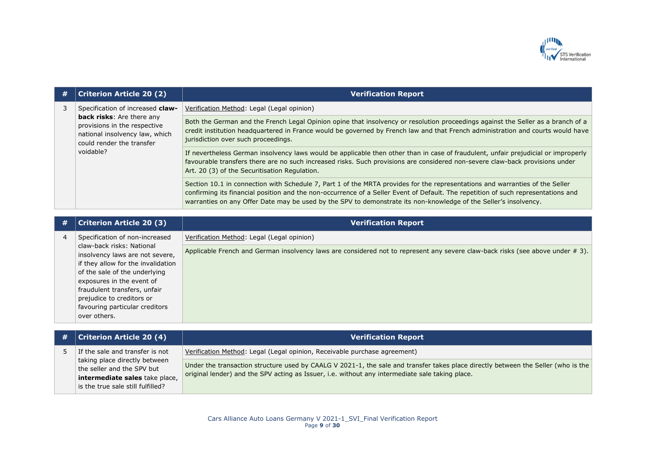

| # | <b>Criterion Article 20 (2)</b>                                                                                                              | <b>Verification Report</b>                                                                                                                                                                                                                                                                                                                                                            |
|---|----------------------------------------------------------------------------------------------------------------------------------------------|---------------------------------------------------------------------------------------------------------------------------------------------------------------------------------------------------------------------------------------------------------------------------------------------------------------------------------------------------------------------------------------|
| 3 | Specification of increased claw-                                                                                                             | Verification Method: Legal (Legal opinion)                                                                                                                                                                                                                                                                                                                                            |
|   | <b>back risks:</b> Are there any<br>provisions in the respective<br>national insolvency law, which<br>could render the transfer<br>voidable? | Both the German and the French Legal Opinion opine that insolvency or resolution proceedings against the Seller as a branch of a<br>credit institution headquartered in France would be governed by French law and that French administration and courts would have<br>jurisdiction over such proceedings.                                                                            |
|   |                                                                                                                                              | If nevertheless German insolvency laws would be applicable then other than in case of fraudulent, unfair prejudicial or improperly<br>favourable transfers there are no such increased risks. Such provisions are considered non-severe claw-back provisions under<br>Art. 20 (3) of the Securitisation Regulation.                                                                   |
|   |                                                                                                                                              | Section 10.1 in connection with Schedule 7, Part 1 of the MRTA provides for the representations and warranties of the Seller<br>confirming its financial position and the non-occurrence of a Seller Event of Default. The repetition of such representations and<br>warranties on any Offer Date may be used by the SPV to demonstrate its non-knowledge of the Seller's insolvency. |

| # | <b>Criterion Article 20 (3)</b>                                                                                                                                                                                                                                                 | <b>Verification Report</b>                                                                                                     |
|---|---------------------------------------------------------------------------------------------------------------------------------------------------------------------------------------------------------------------------------------------------------------------------------|--------------------------------------------------------------------------------------------------------------------------------|
| 4 | Specification of non-increased                                                                                                                                                                                                                                                  | Verification Method: Legal (Legal opinion)                                                                                     |
|   | claw-back risks: National<br>insolvency laws are not severe,<br>if they allow for the invalidation<br>of the sale of the underlying<br>exposures in the event of<br>fraudulent transfers, unfair<br>prejudice to creditors or<br>favouring particular creditors<br>over others. | Applicable French and German insolvency laws are considered not to represent any severe claw-back risks (see above under # 3). |

| # | <b>Criterion Article 20 (4)</b>                                     | <b>Verification Report</b>                                                                                                        |
|---|---------------------------------------------------------------------|-----------------------------------------------------------------------------------------------------------------------------------|
|   | If the sale and transfer is not                                     | Verification Method: Legal (Legal opinion, Receivable purchase agreement)                                                         |
|   | taking place directly between<br>the seller and the SPV but         | Under the transaction structure used by CAALG V 2021-1, the sale and transfer takes place directly between the Seller (who is the |
|   | intermediate sales take place,<br>is the true sale still fulfilled? | original lender) and the SPV acting as Issuer, i.e. without any intermediate sale taking place.                                   |
|   |                                                                     |                                                                                                                                   |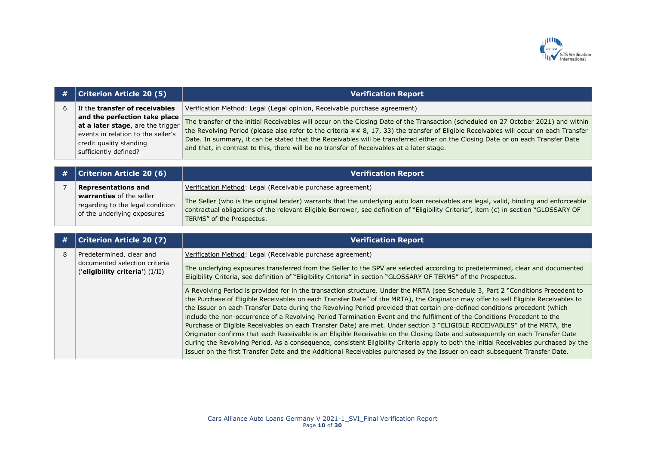

| # | <b>Criterion Article 20 (5)</b>                                                                                                                              | <b>Verification Report</b>                                                                                                                                                                                                                                                                                                                                                                                                                                                                                                                                                                                                                                                                                                                                                                                                                                                                                                                                                                                                                                           |
|---|--------------------------------------------------------------------------------------------------------------------------------------------------------------|----------------------------------------------------------------------------------------------------------------------------------------------------------------------------------------------------------------------------------------------------------------------------------------------------------------------------------------------------------------------------------------------------------------------------------------------------------------------------------------------------------------------------------------------------------------------------------------------------------------------------------------------------------------------------------------------------------------------------------------------------------------------------------------------------------------------------------------------------------------------------------------------------------------------------------------------------------------------------------------------------------------------------------------------------------------------|
| 6 | If the transfer of receivables                                                                                                                               | Verification Method: Legal (Legal opinion, Receivable purchase agreement)                                                                                                                                                                                                                                                                                                                                                                                                                                                                                                                                                                                                                                                                                                                                                                                                                                                                                                                                                                                            |
|   | and the perfection take place<br>at a later stage, are the trigger<br>events in relation to the seller's<br>credit quality standing<br>sufficiently defined? | The transfer of the initial Receivables will occur on the Closing Date of the Transaction (scheduled on 27 October 2021) and within<br>the Revolving Period (please also refer to the criteria $# 8, 17, 33$ ) the transfer of Eligible Receivables will occur on each Transfer<br>Date. In summary, it can be stated that the Receivables will be transferred either on the Closing Date or on each Transfer Date<br>and that, in contrast to this, there will be no transfer of Receivables at a later stage.                                                                                                                                                                                                                                                                                                                                                                                                                                                                                                                                                      |
|   |                                                                                                                                                              |                                                                                                                                                                                                                                                                                                                                                                                                                                                                                                                                                                                                                                                                                                                                                                                                                                                                                                                                                                                                                                                                      |
| # | <b>Criterion Article 20 (6)</b>                                                                                                                              | <b>Verification Report</b>                                                                                                                                                                                                                                                                                                                                                                                                                                                                                                                                                                                                                                                                                                                                                                                                                                                                                                                                                                                                                                           |
| 7 | <b>Representations and</b>                                                                                                                                   | Verification Method: Legal (Receivable purchase agreement)                                                                                                                                                                                                                                                                                                                                                                                                                                                                                                                                                                                                                                                                                                                                                                                                                                                                                                                                                                                                           |
|   | warranties of the seller<br>regarding to the legal condition<br>of the underlying exposures                                                                  | The Seller (who is the original lender) warrants that the underlying auto loan receivables are legal, valid, binding and enforceable<br>contractual obligations of the relevant Eligible Borrower, see definition of "Eligibility Criteria", item (c) in section "GLOSSARY OF<br>TERMS" of the Prospectus.                                                                                                                                                                                                                                                                                                                                                                                                                                                                                                                                                                                                                                                                                                                                                           |
|   |                                                                                                                                                              |                                                                                                                                                                                                                                                                                                                                                                                                                                                                                                                                                                                                                                                                                                                                                                                                                                                                                                                                                                                                                                                                      |
| # | <b>Criterion Article 20 (7)</b>                                                                                                                              | <b>Verification Report</b>                                                                                                                                                                                                                                                                                                                                                                                                                                                                                                                                                                                                                                                                                                                                                                                                                                                                                                                                                                                                                                           |
| 8 | Predetermined, clear and                                                                                                                                     | Verification Method: Legal (Receivable purchase agreement)                                                                                                                                                                                                                                                                                                                                                                                                                                                                                                                                                                                                                                                                                                                                                                                                                                                                                                                                                                                                           |
|   | documented selection criteria<br>('eligibility criteria') (I/II)                                                                                             | The underlying exposures transferred from the Seller to the SPV are selected according to predetermined, clear and documented<br>Eligibility Criteria, see definition of "Eligibility Criteria" in section "GLOSSARY OF TERMS" of the Prospectus.                                                                                                                                                                                                                                                                                                                                                                                                                                                                                                                                                                                                                                                                                                                                                                                                                    |
|   |                                                                                                                                                              | A Revolving Period is provided for in the transaction structure. Under the MRTA (see Schedule 3, Part 2 "Conditions Precedent to<br>the Purchase of Eligible Receivables on each Transfer Date" of the MRTA), the Originator may offer to sell Eligible Receivables to<br>the Issuer on each Transfer Date during the Revolving Period provided that certain pre-defined conditions precedent (which<br>include the non-occurrence of a Revolving Period Termination Event and the fulfilment of the Conditions Precedent to the<br>Purchase of Eligible Receivables on each Transfer Date) are met. Under section 3 "ELIGIBLE RECEIVABLES" of the MRTA, the<br>Originator confirms that each Receivable is an Eligible Receivable on the Closing Date and subsequently on each Transfer Date<br>during the Revolving Period. As a consequence, consistent Eligibility Criteria apply to both the initial Receivables purchased by the<br>Issuer on the first Transfer Date and the Additional Receivables purchased by the Issuer on each subsequent Transfer Date. |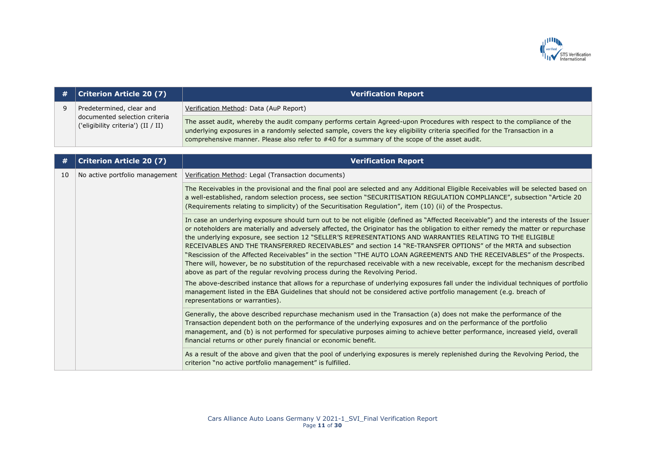

| #  | <b>Criterion Article 20 (7)</b>                                     | <b>Verification Report</b>                                                                                                                                                                                                                                                                                                                                                                                                                                                                                                                                                                                                                                                                                                                                                                                                                           |
|----|---------------------------------------------------------------------|------------------------------------------------------------------------------------------------------------------------------------------------------------------------------------------------------------------------------------------------------------------------------------------------------------------------------------------------------------------------------------------------------------------------------------------------------------------------------------------------------------------------------------------------------------------------------------------------------------------------------------------------------------------------------------------------------------------------------------------------------------------------------------------------------------------------------------------------------|
| 9  | Predetermined, clear and                                            | Verification Method: Data (AuP Report)                                                                                                                                                                                                                                                                                                                                                                                                                                                                                                                                                                                                                                                                                                                                                                                                               |
|    | documented selection criteria<br>('eligibility criteria') (II / II) | The asset audit, whereby the audit company performs certain Agreed-upon Procedures with respect to the compliance of the<br>underlying exposures in a randomly selected sample, covers the key eligibility criteria specified for the Transaction in a<br>comprehensive manner. Please also refer to #40 for a summary of the scope of the asset audit.                                                                                                                                                                                                                                                                                                                                                                                                                                                                                              |
|    | <b>Criterion Article 20 (7)</b>                                     | <b>Verification Report</b>                                                                                                                                                                                                                                                                                                                                                                                                                                                                                                                                                                                                                                                                                                                                                                                                                           |
| 10 | No active portfolio management                                      | Verification Method: Legal (Transaction documents)                                                                                                                                                                                                                                                                                                                                                                                                                                                                                                                                                                                                                                                                                                                                                                                                   |
|    |                                                                     | The Receivables in the provisional and the final pool are selected and any Additional Eligible Receivables will be selected based on<br>a well-established, random selection process, see section "SECURITISATION REGULATION COMPLIANCE", subsection "Article 20<br>(Requirements relating to simplicity) of the Securitisation Regulation", item (10) (ii) of the Prospectus.                                                                                                                                                                                                                                                                                                                                                                                                                                                                       |
|    |                                                                     | In case an underlying exposure should turn out to be not eligible (defined as "Affected Receivable") and the interests of the Issuer<br>or noteholders are materially and adversely affected, the Originator has the obligation to either remedy the matter or repurchase<br>the underlying exposure, see section 12 "SELLER'S REPRESENTATIONS AND WARRANTIES RELATING TO THE ELIGIBLE<br>RECEIVABLES AND THE TRANSFERRED RECEIVABLES" and section 14 "RE-TRANSFER OPTIONS" of the MRTA and subsection<br>"Rescission of the Affected Receivables" in the section "THE AUTO LOAN AGREEMENTS AND THE RECEIVABLES" of the Prospects.<br>There will, however, be no substitution of the repurchased receivable with a new receivable, except for the mechanism described<br>above as part of the regular revolving process during the Revolving Period. |
|    |                                                                     | The above-described instance that allows for a repurchase of underlying exposures fall under the individual techniques of portfolio<br>management listed in the EBA Guidelines that should not be considered active portfolio management (e.g. breach of<br>representations or warranties).                                                                                                                                                                                                                                                                                                                                                                                                                                                                                                                                                          |
|    |                                                                     | Generally, the above described repurchase mechanism used in the Transaction (a) does not make the performance of the<br>Transaction dependent both on the performance of the underlying exposures and on the performance of the portfolio<br>management, and (b) is not performed for speculative purposes aiming to achieve better performance, increased yield, overall<br>financial returns or other purely financial or economic benefit.                                                                                                                                                                                                                                                                                                                                                                                                        |
|    |                                                                     | As a result of the above and given that the pool of underlying exposures is merely replenished during the Revolving Period, the<br>criterion "no active portfolio management" is fulfilled.                                                                                                                                                                                                                                                                                                                                                                                                                                                                                                                                                                                                                                                          |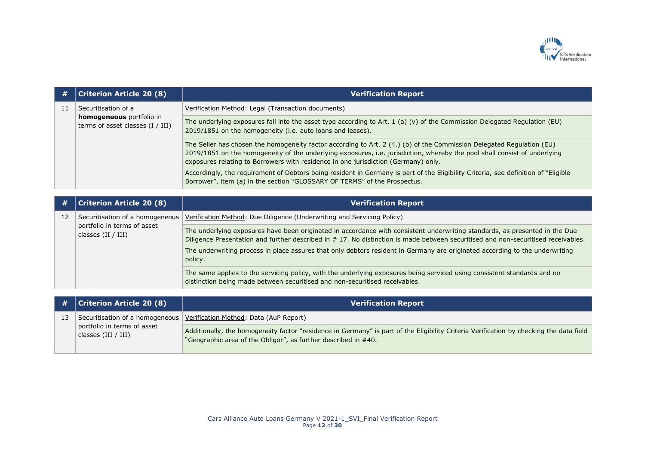

| #   | <b>Criterion Article 20 (8)</b>                                       | <b>Verification Report</b>                                                                                                                                                                                                                                                                                                                                                                                  |
|-----|-----------------------------------------------------------------------|-------------------------------------------------------------------------------------------------------------------------------------------------------------------------------------------------------------------------------------------------------------------------------------------------------------------------------------------------------------------------------------------------------------|
| -11 | Securitisation of a                                                   | Verification Method: Legal (Transaction documents)                                                                                                                                                                                                                                                                                                                                                          |
|     | <b>homogeneous</b> portfolio in<br>terms of asset classes $(I / III)$ | The underlying exposures fall into the asset type according to Art. 1 (a) (v) of the Commission Delegated Regulation (EU)<br>2019/1851 on the homogeneity (i.e. auto loans and leases).                                                                                                                                                                                                                     |
|     |                                                                       | The Seller has chosen the homogeneity factor according to Art. 2 (4.) (b) of the Commission Delegated Regulation (EU)<br>2019/1851 on the homogeneity of the underlying exposures, i.e. jurisdiction, whereby the pool shall consist of underlying<br>exposures relating to Borrowers with residence in one jurisdiction (Germany) only.                                                                    |
|     |                                                                       | Accordingly, the requirement of Debtors being resident in Germany is part of the Eligibility Criteria, see definition of "Eligible"<br>Borrower", item (a) in the section "GLOSSARY OF TERMS" of the Prospectus.                                                                                                                                                                                            |
|     |                                                                       |                                                                                                                                                                                                                                                                                                                                                                                                             |
| #   | <b>Criterion Article 20 (8)</b>                                       | <b>Verification Report</b>                                                                                                                                                                                                                                                                                                                                                                                  |
| 12  | Securitisation of a homogeneous                                       | Verification Method: Due Diligence (Underwriting and Servicing Policy)                                                                                                                                                                                                                                                                                                                                      |
|     | portfolio in terms of asset<br>classes $(II / III)$                   | The underlying exposures have been originated in accordance with consistent underwriting standards, as presented in the Due<br>Diligence Presentation and further described in # 17. No distinction is made between securitised and non-securitised receivables.<br>The underwriting process in place assures that only debtors resident in Germany are originated according to the underwriting<br>policy. |
|     |                                                                       | The same applies to the servicing policy, with the underlying exposures being serviced using consistent standards and no<br>distinction being made between securitised and non-securitised receivables.                                                                                                                                                                                                     |

| $\#$   Criterion Article 20 (8)                      | <b>Verification Report</b>                                                                                                                                                                                |
|------------------------------------------------------|-----------------------------------------------------------------------------------------------------------------------------------------------------------------------------------------------------------|
|                                                      | Securitisation of a homogeneous   Verification Method: Data (AuP Report)                                                                                                                                  |
| portfolio in terms of asset<br>  classes (III / III) | Additionally, the homogeneity factor "residence in Germany" is part of the Eligibility Criteria Verification by checking the data field<br>"Geographic area of the Obligor", as further described in #40. |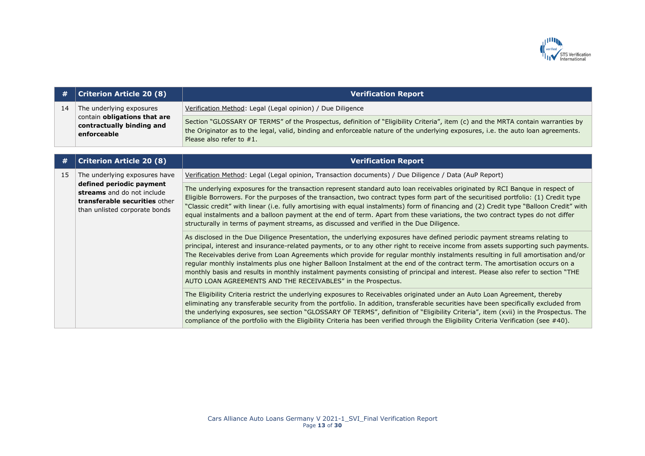

| #  | <b>Criterion Article 20 (8)</b>                                                                                          | <b>Verification Report</b>                                                                                                                                                                                                                                                                                                                                                                                                                                                                                                                                                                                                                                                                                                             |
|----|--------------------------------------------------------------------------------------------------------------------------|----------------------------------------------------------------------------------------------------------------------------------------------------------------------------------------------------------------------------------------------------------------------------------------------------------------------------------------------------------------------------------------------------------------------------------------------------------------------------------------------------------------------------------------------------------------------------------------------------------------------------------------------------------------------------------------------------------------------------------------|
| 14 | The underlying exposures<br>contain obligations that are<br>contractually binding and<br>enforceable                     | Verification Method: Legal (Legal opinion) / Due Diligence                                                                                                                                                                                                                                                                                                                                                                                                                                                                                                                                                                                                                                                                             |
|    |                                                                                                                          | Section "GLOSSARY OF TERMS" of the Prospectus, definition of "Eligibility Criteria", item (c) and the MRTA contain warranties by<br>the Originator as to the legal, valid, binding and enforceable nature of the underlying exposures, i.e. the auto loan agreements.<br>Please also refer to $#1$ .                                                                                                                                                                                                                                                                                                                                                                                                                                   |
|    |                                                                                                                          |                                                                                                                                                                                                                                                                                                                                                                                                                                                                                                                                                                                                                                                                                                                                        |
| #  | <b>Criterion Article 20 (8)</b>                                                                                          | <b>Verification Report</b>                                                                                                                                                                                                                                                                                                                                                                                                                                                                                                                                                                                                                                                                                                             |
| 15 | The underlying exposures have                                                                                            | Verification Method: Legal (Legal opinion, Transaction documents) / Due Diligence / Data (AuP Report)                                                                                                                                                                                                                                                                                                                                                                                                                                                                                                                                                                                                                                  |
|    | defined periodic payment<br>streams and do not include<br>transferable securities other<br>than unlisted corporate bonds | The underlying exposures for the transaction represent standard auto loan receivables originated by RCI Banque in respect of<br>Eligible Borrowers. For the purposes of the transaction, two contract types form part of the securitised portfolio: (1) Credit type<br>"Classic credit" with linear (i.e. fully amortising with equal instalments) form of financing and (2) Credit type "Balloon Credit" with<br>equal instalments and a balloon payment at the end of term. Apart from these variations, the two contract types do not differ<br>structurally in terms of payment streams, as discussed and verified in the Due Diligence.                                                                                           |
|    |                                                                                                                          | As disclosed in the Due Diligence Presentation, the underlying exposures have defined periodic payment streams relating to<br>principal, interest and insurance-related payments, or to any other right to receive income from assets supporting such payments.<br>The Receivables derive from Loan Agreements which provide for regular monthly instalments resulting in full amortisation and/or<br>regular monthly instalments plus one higher Balloon Instalment at the end of the contract term. The amortisation occurs on a<br>monthly basis and results in monthly instalment payments consisting of principal and interest. Please also refer to section "THE<br>AUTO LOAN AGREEMENTS AND THE RECEIVABLES" in the Prospectus. |
|    |                                                                                                                          | The Eligibility Criteria restrict the underlying exposures to Receivables originated under an Auto Loan Agreement, thereby<br>eliminating any transferable security from the portfolio. In addition, transferable securities have been specifically excluded from<br>the underlying exposures, see section "GLOSSARY OF TERMS", definition of "Eligibility Criteria", item (xvii) in the Prospectus. The<br>compliance of the portfolio with the Eligibility Criteria has been verified through the Eligibility Criteria Verification (see #40).                                                                                                                                                                                       |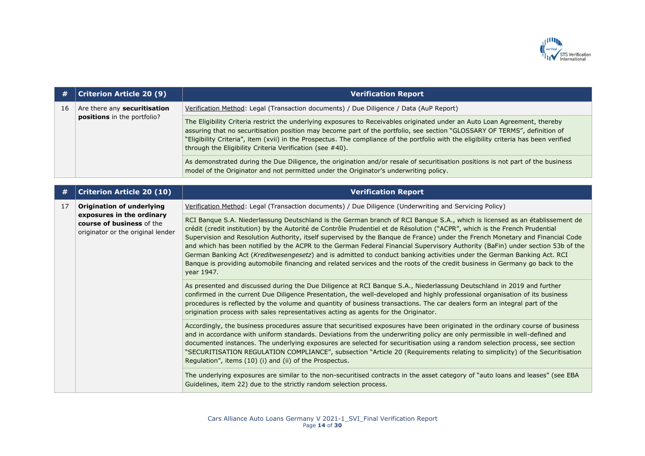

| #  | <b>Criterion Article 20 (9)</b>                                                             | <b>Verification Report</b>                                                                                                                                                                                                                                                                                                                                                                                                                                                                                                                                                                                                                                                                                                                                                                            |
|----|---------------------------------------------------------------------------------------------|-------------------------------------------------------------------------------------------------------------------------------------------------------------------------------------------------------------------------------------------------------------------------------------------------------------------------------------------------------------------------------------------------------------------------------------------------------------------------------------------------------------------------------------------------------------------------------------------------------------------------------------------------------------------------------------------------------------------------------------------------------------------------------------------------------|
| 16 | Are there any securitisation<br><b>positions</b> in the portfolio?                          | Verification Method: Legal (Transaction documents) / Due Diligence / Data (AuP Report)                                                                                                                                                                                                                                                                                                                                                                                                                                                                                                                                                                                                                                                                                                                |
|    |                                                                                             | The Eligibility Criteria restrict the underlying exposures to Receivables originated under an Auto Loan Agreement, thereby<br>assuring that no securitisation position may become part of the portfolio, see section "GLOSSARY OF TERMS", definition of<br>"Eligibility Criteria", item (xvii) in the Prospectus. The compliance of the portfolio with the eligibility criteria has been verified<br>through the Eligibility Criteria Verification (see #40).                                                                                                                                                                                                                                                                                                                                         |
|    |                                                                                             | As demonstrated during the Due Diligence, the origination and/or resale of securitisation positions is not part of the business<br>model of the Originator and not permitted under the Originator's underwriting policy.                                                                                                                                                                                                                                                                                                                                                                                                                                                                                                                                                                              |
|    |                                                                                             |                                                                                                                                                                                                                                                                                                                                                                                                                                                                                                                                                                                                                                                                                                                                                                                                       |
| #  | <b>Criterion Article 20 (10)</b>                                                            | <b>Verification Report</b>                                                                                                                                                                                                                                                                                                                                                                                                                                                                                                                                                                                                                                                                                                                                                                            |
| 17 | <b>Origination of underlying</b>                                                            | Verification Method: Legal (Transaction documents) / Due Diligence (Underwriting and Servicing Policy)                                                                                                                                                                                                                                                                                                                                                                                                                                                                                                                                                                                                                                                                                                |
|    | exposures in the ordinary<br>course of business of the<br>originator or the original lender | RCI Banque S.A. Niederlassung Deutschland is the German branch of RCI Banque S.A., which is licensed as an établissement de<br>crédit (credit institution) by the Autorité de Contrôle Prudentiel et de Résolution ("ACPR", which is the French Prudential<br>Supervision and Resolution Authority, itself supervised by the Banque de France) under the French Monetary and Financial Code<br>and which has been notified by the ACPR to the German Federal Financial Supervisory Authority (BaFin) under section 53b of the<br>German Banking Act (Kreditwesengesetz) and is admitted to conduct banking activities under the German Banking Act. RCI<br>Banque is providing automobile financing and related services and the roots of the credit business in Germany go back to the<br>year 1947. |
|    |                                                                                             | As presented and discussed during the Due Diligence at RCI Banque S.A., Niederlassung Deutschland in 2019 and further<br>confirmed in the current Due Diligence Presentation, the well-developed and highly professional organisation of its business<br>procedures is reflected by the volume and quantity of business transactions. The car dealers form an integral part of the<br>origination process with sales representatives acting as agents for the Originator.                                                                                                                                                                                                                                                                                                                             |
|    |                                                                                             | Accordingly, the business procedures assure that securitised exposures have been originated in the ordinary course of business<br>and in accordance with uniform standards. Deviations from the underwriting policy are only permissible in well-defined and<br>documented instances. The underlying exposures are selected for securitisation using a random selection process, see section<br>"SECURITISATION REGULATION COMPLIANCE", subsection "Article 20 (Requirements relating to simplicity) of the Securitisation<br>Regulation", items (10) (i) and (ii) of the Prospectus.                                                                                                                                                                                                                 |
|    |                                                                                             | The underlying exposures are similar to the non-securitised contracts in the asset category of "auto loans and leases" (see EBA<br>Guidelines, item 22) due to the strictly random selection process.                                                                                                                                                                                                                                                                                                                                                                                                                                                                                                                                                                                                 |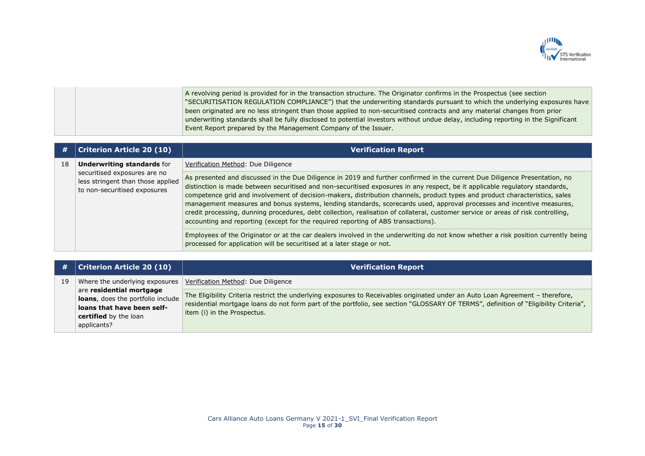

A revolving period is provided for in the transaction structure. The Originator confirms in the Prospectus (see section "SECURITISATION REGULATION COMPLIANCE") that the underwriting standards pursuant to which the underlying exposures have been originated are no less stringent than those applied to non-securitised contracts and any material changes from prior underwriting standards shall be fully disclosed to potential investors without undue delay, including reporting in the Significant Event Report prepared by the Management Company of the Issuer.

| #  | <b>Criterion Article 20 (10)</b>                                                                                                       | <b>Verification Report</b>                                                                                                                                                                                                                                                                                                                                                                                                                                                                                                                                                                                                                                                                                                                    |
|----|----------------------------------------------------------------------------------------------------------------------------------------|-----------------------------------------------------------------------------------------------------------------------------------------------------------------------------------------------------------------------------------------------------------------------------------------------------------------------------------------------------------------------------------------------------------------------------------------------------------------------------------------------------------------------------------------------------------------------------------------------------------------------------------------------------------------------------------------------------------------------------------------------|
| 18 | <b>Underwriting standards for</b><br>securitised exposures are no<br>less stringent than those applied<br>to non-securitised exposures | Verification Method: Due Diligence                                                                                                                                                                                                                                                                                                                                                                                                                                                                                                                                                                                                                                                                                                            |
|    |                                                                                                                                        | As presented and discussed in the Due Diligence in 2019 and further confirmed in the current Due Diligence Presentation, no<br>distinction is made between securitised and non-securitised exposures in any respect, be it applicable regulatory standards,<br>competence grid and involvement of decision-makers, distribution channels, product types and product characteristics, sales<br>management measures and bonus systems, lending standards, scorecards used, approval processes and incentive measures,<br>credit processing, dunning procedures, debt collection, realisation of collateral, customer service or areas of risk controlling,<br>accounting and reporting (except for the required reporting of ABS transactions). |
|    |                                                                                                                                        | Employees of the Originator or at the car dealers involved in the underwriting do not know whether a risk position currently being<br>processed for application will be securitised at a later stage or not.                                                                                                                                                                                                                                                                                                                                                                                                                                                                                                                                  |

| #  | Criterion Article 20 (10)                                                                                                                  | <b>Verification Report</b>                                                                                                                                                                                                                                                                            |
|----|--------------------------------------------------------------------------------------------------------------------------------------------|-------------------------------------------------------------------------------------------------------------------------------------------------------------------------------------------------------------------------------------------------------------------------------------------------------|
| 19 |                                                                                                                                            | Where the underlying exposures $\sqrt{\frac{1}{100}}$ Method: Due Diligence                                                                                                                                                                                                                           |
|    | are residential mortgage<br>loans, does the portfolio include<br>loans that have been self-<br><b>certified</b> by the loan<br>applicants? | The Eligibility Criteria restrict the underlying exposures to Receivables originated under an Auto Loan Agreement - therefore,<br>residential mortgage loans do not form part of the portfolio, see section "GLOSSARY OF TERMS", definition of "Eligibility Criteria",<br>item (i) in the Prospectus. |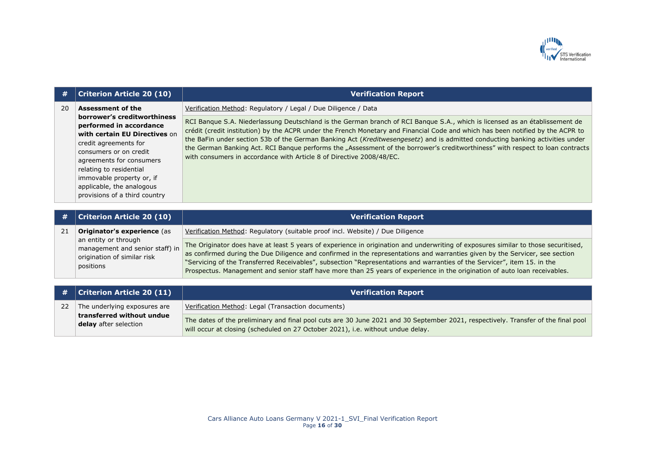

| #  | <b>Criterion Article 20 (10)</b>                                                                                                                                                                                                                                                                                         | <b>Verification Report</b>                                                                                                                                                                                                                                                                                                                                                                                                                                                                                                                                                                                |
|----|--------------------------------------------------------------------------------------------------------------------------------------------------------------------------------------------------------------------------------------------------------------------------------------------------------------------------|-----------------------------------------------------------------------------------------------------------------------------------------------------------------------------------------------------------------------------------------------------------------------------------------------------------------------------------------------------------------------------------------------------------------------------------------------------------------------------------------------------------------------------------------------------------------------------------------------------------|
| 20 | <b>Assessment of the</b><br>borrower's creditworthiness<br>performed in accordance<br>with certain EU Directives on<br>credit agreements for<br>consumers or on credit<br>agreements for consumers<br>relating to residential<br>immovable property or, if<br>applicable, the analogous<br>provisions of a third country | Verification Method: Regulatory / Legal / Due Diligence / Data                                                                                                                                                                                                                                                                                                                                                                                                                                                                                                                                            |
|    |                                                                                                                                                                                                                                                                                                                          | RCI Bangue S.A. Niederlassung Deutschland is the German branch of RCI Bangue S.A., which is licensed as an établissement de<br>crédit (credit institution) by the ACPR under the French Monetary and Financial Code and which has been notified by the ACPR to<br>the BaFin under section 53b of the German Banking Act (Kreditwesengesetz) and is admitted conducting banking activities under<br>the German Banking Act. RCI Bangue performs the "Assessment of the borrower's creditworthiness" with respect to loan contracts<br>with consumers in accordance with Article 8 of Directive 2008/48/EC. |
|    |                                                                                                                                                                                                                                                                                                                          |                                                                                                                                                                                                                                                                                                                                                                                                                                                                                                                                                                                                           |
| #  | <b>Criterion Article 20 (10)</b>                                                                                                                                                                                                                                                                                         | <b>Verification Report</b>                                                                                                                                                                                                                                                                                                                                                                                                                                                                                                                                                                                |
| 21 | Originator's experience (as<br>an entity or through<br>management and senior staff) in<br>origination of similar risk<br>positions                                                                                                                                                                                       | Verification Method: Regulatory (suitable proof incl. Website) / Due Diligence                                                                                                                                                                                                                                                                                                                                                                                                                                                                                                                            |
|    |                                                                                                                                                                                                                                                                                                                          | The Originator does have at least 5 years of experience in origination and underwriting of exposures similar to those securitised,<br>as confirmed during the Due Diligence and confirmed in the representations and warranties given by the Servicer, see section<br>"Servicing of the Transferred Receivables", subsection "Representations and warranties of the Servicer", item 15. in the<br>Prospectus. Management and senior staff have more than 25 years of experience in the origination of auto loan receivables.                                                                              |
|    |                                                                                                                                                                                                                                                                                                                          |                                                                                                                                                                                                                                                                                                                                                                                                                                                                                                                                                                                                           |
| #  | <b>Criterion Article 20 (11)</b>                                                                                                                                                                                                                                                                                         | <b>Verification Report</b>                                                                                                                                                                                                                                                                                                                                                                                                                                                                                                                                                                                |
| 22 | The underlying exposures are<br>transferred without undue<br>delay after selection                                                                                                                                                                                                                                       | Verification Method: Legal (Transaction documents)                                                                                                                                                                                                                                                                                                                                                                                                                                                                                                                                                        |
|    |                                                                                                                                                                                                                                                                                                                          | The dates of the preliminary and final pool cuts are 30 June 2021 and 30 September 2021, respectively. Transfer of the final pool<br>will occur at closing (scheduled on 27 October 2021), i.e. without undue delay.                                                                                                                                                                                                                                                                                                                                                                                      |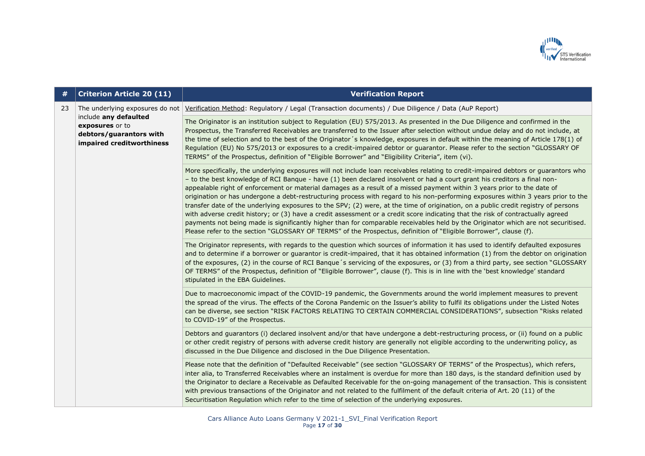

| #  | <b>Criterion Article 20 (11)</b>                                                                                                    | <b>Verification Report</b>                                                                                                                                                                                                                                                                                                                                                                                                                                                                                                                                                                                                                                                                                                                                                                                                                                                                                                                                                                                                                                         |
|----|-------------------------------------------------------------------------------------------------------------------------------------|--------------------------------------------------------------------------------------------------------------------------------------------------------------------------------------------------------------------------------------------------------------------------------------------------------------------------------------------------------------------------------------------------------------------------------------------------------------------------------------------------------------------------------------------------------------------------------------------------------------------------------------------------------------------------------------------------------------------------------------------------------------------------------------------------------------------------------------------------------------------------------------------------------------------------------------------------------------------------------------------------------------------------------------------------------------------|
| 23 | The underlying exposures do not<br>include any defaulted<br>exposures or to<br>debtors/guarantors with<br>impaired creditworthiness | Verification Method: Regulatory / Legal (Transaction documents) / Due Diligence / Data (AuP Report)                                                                                                                                                                                                                                                                                                                                                                                                                                                                                                                                                                                                                                                                                                                                                                                                                                                                                                                                                                |
|    |                                                                                                                                     | The Originator is an institution subject to Regulation (EU) 575/2013. As presented in the Due Diligence and confirmed in the<br>Prospectus, the Transferred Receivables are transferred to the Issuer after selection without undue delay and do not include, at<br>the time of selection and to the best of the Originator's knowledge, exposures in default within the meaning of Article 178(1) of<br>Regulation (EU) No 575/2013 or exposures to a credit-impaired debtor or guarantor. Please refer to the section "GLOSSARY OF<br>TERMS" of the Prospectus, definition of "Eligible Borrower" and "Eligibility Criteria", item (vi).                                                                                                                                                                                                                                                                                                                                                                                                                         |
|    |                                                                                                                                     | More specifically, the underlying exposures will not include loan receivables relating to credit-impaired debtors or guarantors who<br>- to the best knowledge of RCI Banque - have (1) been declared insolvent or had a court grant his creditors a final non-<br>appealable right of enforcement or material damages as a result of a missed payment within 3 years prior to the date of<br>origination or has undergone a debt-restructuring process with regard to his non-performing exposures within 3 years prior to the<br>transfer date of the underlying exposures to the SPV; (2) were, at the time of origination, on a public credit registry of persons<br>with adverse credit history; or (3) have a credit assessment or a credit score indicating that the risk of contractually agreed<br>payments not being made is significantly higher than for comparable receivables held by the Originator which are not securitised.<br>Please refer to the section "GLOSSARY OF TERMS" of the Prospectus, definition of "Eligible Borrower", clause (f). |
|    |                                                                                                                                     | The Originator represents, with regards to the question which sources of information it has used to identify defaulted exposures<br>and to determine if a borrower or guarantor is credit-impaired, that it has obtained information (1) from the debtor on origination<br>of the exposures, (2) in the course of RCI Banque's servicing of the exposures, or (3) from a third party, see section "GLOSSARY<br>OF TERMS" of the Prospectus, definition of "Eligible Borrower", clause (f). This is in line with the 'best knowledge' standard<br>stipulated in the EBA Guidelines.                                                                                                                                                                                                                                                                                                                                                                                                                                                                                 |
|    |                                                                                                                                     | Due to macroeconomic impact of the COVID-19 pandemic, the Governments around the world implement measures to prevent<br>the spread of the virus. The effects of the Corona Pandemic on the Issuer's ability to fulfil its obligations under the Listed Notes<br>can be diverse, see section "RISK FACTORS RELATING TO CERTAIN COMMERCIAL CONSIDERATIONS", subsection "Risks related<br>to COVID-19" of the Prospectus.                                                                                                                                                                                                                                                                                                                                                                                                                                                                                                                                                                                                                                             |
|    |                                                                                                                                     | Debtors and guarantors (i) declared insolvent and/or that have undergone a debt-restructuring process, or (ii) found on a public<br>or other credit registry of persons with adverse credit history are generally not eligible according to the underwriting policy, as<br>discussed in the Due Diligence and disclosed in the Due Diligence Presentation.                                                                                                                                                                                                                                                                                                                                                                                                                                                                                                                                                                                                                                                                                                         |
|    |                                                                                                                                     | Please note that the definition of "Defaulted Receivable" (see section "GLOSSARY OF TERMS" of the Prospectus), which refers,<br>inter alia, to Transferred Receivables where an instalment is overdue for more than 180 days, is the standard definition used by<br>the Originator to declare a Receivable as Defaulted Receivable for the on-going management of the transaction. This is consistent<br>with previous transactions of the Originator and not related to the fulfilment of the default criteria of Art. 20 (11) of the<br>Securitisation Regulation which refer to the time of selection of the underlying exposures.                                                                                                                                                                                                                                                                                                                                                                                                                              |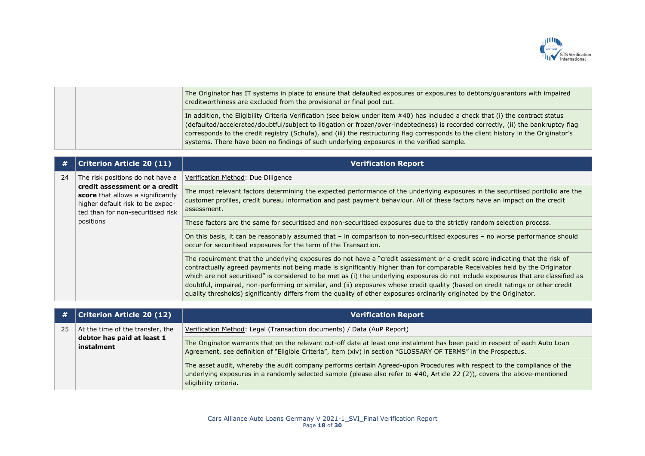

|  | The Originator has IT systems in place to ensure that defaulted exposures or exposures to debtors/guarantors with impaired<br>creditworthiness are excluded from the provisional or final pool cut.                                                                                                                                                                                                                                                                                                       |
|--|-----------------------------------------------------------------------------------------------------------------------------------------------------------------------------------------------------------------------------------------------------------------------------------------------------------------------------------------------------------------------------------------------------------------------------------------------------------------------------------------------------------|
|  | In addition, the Eligibility Criteria Verification (see below under item #40) has included a check that (i) the contract status<br>(defaulted/accelerated/doubtful/subject to litigation or frozen/over-indebtedness) is recorded correctly, (ii) the bankruptcy flag<br>corresponds to the credit registry (Schufa), and (iii) the restructuring flag corresponds to the client history in the Originator's<br>systems. There have been no findings of such underlying exposures in the verified sample. |

| #  | <b>Criterion Article 20 (11)</b>                                                                                                                                                             | <b>Verification Report</b>                                                                                                                                                                                                                                                                                                                                                                                                                                                                                                                                                                                                                                     |
|----|----------------------------------------------------------------------------------------------------------------------------------------------------------------------------------------------|----------------------------------------------------------------------------------------------------------------------------------------------------------------------------------------------------------------------------------------------------------------------------------------------------------------------------------------------------------------------------------------------------------------------------------------------------------------------------------------------------------------------------------------------------------------------------------------------------------------------------------------------------------------|
| 24 | The risk positions do not have a<br>credit assessment or a credit<br>score that allows a significantly<br>higher default risk to be expec-<br>ted than for non-securitised risk<br>positions | Verification Method: Due Diligence                                                                                                                                                                                                                                                                                                                                                                                                                                                                                                                                                                                                                             |
|    |                                                                                                                                                                                              | The most relevant factors determining the expected performance of the underlying exposures in the securitised portfolio are the<br>customer profiles, credit bureau information and past payment behaviour. All of these factors have an impact on the credit<br>assessment.                                                                                                                                                                                                                                                                                                                                                                                   |
|    |                                                                                                                                                                                              | These factors are the same for securitised and non-securitised exposures due to the strictly random selection process.                                                                                                                                                                                                                                                                                                                                                                                                                                                                                                                                         |
|    |                                                                                                                                                                                              | On this basis, it can be reasonably assumed that – in comparison to non-securitised exposures – no worse performance should<br>occur for securitised exposures for the term of the Transaction.                                                                                                                                                                                                                                                                                                                                                                                                                                                                |
|    |                                                                                                                                                                                              | The requirement that the underlying exposures do not have a "credit assessment or a credit score indicating that the risk of<br>contractually agreed payments not being made is significantly higher than for comparable Receivables held by the Originator<br>which are not securitised" is considered to be met as (i) the underlying exposures do not include exposures that are classified as<br>doubtful, impaired, non-performing or similar, and (ii) exposures whose credit quality (based on credit ratings or other credit<br>quality thresholds) significantly differs from the quality of other exposures ordinarily originated by the Originator. |

| #  | <b>Criterion Article 20 (12)</b>                                             | <b>Verification Report</b>                                                                                                                                                                                                                                                     |
|----|------------------------------------------------------------------------------|--------------------------------------------------------------------------------------------------------------------------------------------------------------------------------------------------------------------------------------------------------------------------------|
| 25 | At the time of the transfer, the<br>debtor has paid at least 1<br>instalment | Verification Method: Legal (Transaction documents) / Data (AuP Report)                                                                                                                                                                                                         |
|    |                                                                              | The Originator warrants that on the relevant cut-off date at least one instalment has been paid in respect of each Auto Loan<br>Agreement, see definition of "Eligible Criteria", item (xiv) in section "GLOSSARY OF TERMS" in the Prospectus.                                 |
|    |                                                                              | The asset audit, whereby the audit company performs certain Agreed-upon Procedures with respect to the compliance of the<br>underlying exposures in a randomly selected sample (please also refer to #40, Article 22 (2)), covers the above-mentioned<br>eligibility criteria. |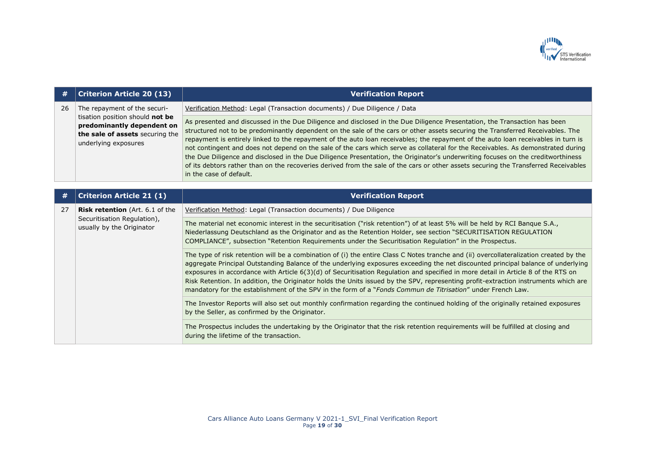

| #  | <b>Criterion Article 20 (13)</b>                                                                                                                         | <b>Verification Report</b>                                                                                                                                                                                                                                                                                                                                                                                                                                                                                                                                                                                                                                                                                                                                                                                                                 |
|----|----------------------------------------------------------------------------------------------------------------------------------------------------------|--------------------------------------------------------------------------------------------------------------------------------------------------------------------------------------------------------------------------------------------------------------------------------------------------------------------------------------------------------------------------------------------------------------------------------------------------------------------------------------------------------------------------------------------------------------------------------------------------------------------------------------------------------------------------------------------------------------------------------------------------------------------------------------------------------------------------------------------|
| 26 | The repayment of the securi-<br>tisation position should not be<br>predominantly dependent on<br>the sale of assets securing the<br>underlying exposures | Verification Method: Legal (Transaction documents) / Due Diligence / Data                                                                                                                                                                                                                                                                                                                                                                                                                                                                                                                                                                                                                                                                                                                                                                  |
|    |                                                                                                                                                          | As presented and discussed in the Due Diligence and disclosed in the Due Diligence Presentation, the Transaction has been<br>structured not to be predominantly dependent on the sale of the cars or other assets securing the Transferred Receivables. The<br>repayment is entirely linked to the repayment of the auto loan receivables; the repayment of the auto loan receivables in turn is<br>not contingent and does not depend on the sale of the cars which serve as collateral for the Receivables. As demonstrated during<br>the Due Diligence and disclosed in the Due Diligence Presentation, the Originator's underwriting focuses on the creditworthiness<br>of its debtors rather than on the recoveries derived from the sale of the cars or other assets securing the Transferred Receivables<br>in the case of default. |
| #  | <b>Criterion Article 21 (1)</b>                                                                                                                          | <b>Verification Report</b>                                                                                                                                                                                                                                                                                                                                                                                                                                                                                                                                                                                                                                                                                                                                                                                                                 |
| 27 | Risk retention (Art. 6.1 of the<br>Securitisation Regulation),<br>usually by the Originator                                                              | Verification Method: Legal (Transaction documents) / Due Diligence                                                                                                                                                                                                                                                                                                                                                                                                                                                                                                                                                                                                                                                                                                                                                                         |
|    |                                                                                                                                                          | The material net economic interest in the securitisation ("risk retention") of at least 5% will be held by RCI Banque S.A.,<br>Niederlassung Deutschland as the Originator and as the Retention Holder, see section "SECURITISATION REGULATION<br>COMPLIANCE", subsection "Retention Requirements under the Securitisation Regulation" in the Prospectus.                                                                                                                                                                                                                                                                                                                                                                                                                                                                                  |
|    |                                                                                                                                                          | The type of risk retention will be a combination of (i) the entire Class C Notes tranche and (ii) overcollateralization created by the<br>aggregate Principal Outstanding Balance of the underlying exposures exceeding the net discounted principal balance of underlying<br>exposures in accordance with Article 6(3)(d) of Securitisation Regulation and specified in more detail in Article 8 of the RTS on<br>Risk Retention. In addition, the Originator holds the Units issued by the SPV, representing profit-extraction instruments which are<br>mandatory for the establishment of the SPV in the form of a "Fonds Commun de Titrisation" under French Law.                                                                                                                                                                      |
|    |                                                                                                                                                          | The Investor Reports will also set out monthly confirmation regarding the continued holding of the originally retained exposures<br>by the Seller, as confirmed by the Originator.                                                                                                                                                                                                                                                                                                                                                                                                                                                                                                                                                                                                                                                         |
|    |                                                                                                                                                          | The Prospectus includes the undertaking by the Originator that the risk retention requirements will be fulfilled at closing and<br>during the lifetime of the transaction.                                                                                                                                                                                                                                                                                                                                                                                                                                                                                                                                                                                                                                                                 |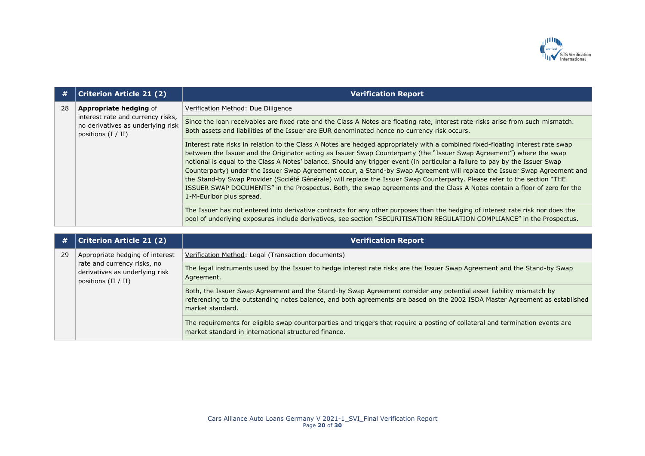

| #  | <b>Criterion Article 21 (2)</b>                                                                                                 | <b>Verification Report</b>                                                                                                                                                                                                                                                                                                                                                                                                                                                                                                                                                                                                                                                                                                                                                                                  |
|----|---------------------------------------------------------------------------------------------------------------------------------|-------------------------------------------------------------------------------------------------------------------------------------------------------------------------------------------------------------------------------------------------------------------------------------------------------------------------------------------------------------------------------------------------------------------------------------------------------------------------------------------------------------------------------------------------------------------------------------------------------------------------------------------------------------------------------------------------------------------------------------------------------------------------------------------------------------|
| 28 | <b>Appropriate hedging of</b><br>interest rate and currency risks,<br>no derivatives as underlying risk<br>positions $(I / II)$ | Verification Method: Due Diligence                                                                                                                                                                                                                                                                                                                                                                                                                                                                                                                                                                                                                                                                                                                                                                          |
|    |                                                                                                                                 | Since the loan receivables are fixed rate and the Class A Notes are floating rate, interest rate risks arise from such mismatch.<br>Both assets and liabilities of the Issuer are EUR denominated hence no currency risk occurs.                                                                                                                                                                                                                                                                                                                                                                                                                                                                                                                                                                            |
|    |                                                                                                                                 | Interest rate risks in relation to the Class A Notes are hedged appropriately with a combined fixed-floating interest rate swap<br>between the Issuer and the Originator acting as Issuer Swap Counterparty (the "Issuer Swap Agreement") where the swap<br>notional is equal to the Class A Notes' balance. Should any trigger event (in particular a failure to pay by the Issuer Swap<br>Counterparty) under the Issuer Swap Agreement occur, a Stand-by Swap Agreement will replace the Issuer Swap Agreement and<br>the Stand-by Swap Provider (Société Générale) will replace the Issuer Swap Counterparty. Please refer to the section "THE<br>ISSUER SWAP DOCUMENTS" in the Prospectus. Both, the swap agreements and the Class A Notes contain a floor of zero for the<br>1-M-Euribor plus spread. |
|    |                                                                                                                                 | The Issuer has not entered into derivative contracts for any other purposes than the hedging of interest rate risk nor does the<br>pool of underlying exposures include derivatives, see section "SECURITISATION REGULATION COMPLIANCE" in the Prospectus.                                                                                                                                                                                                                                                                                                                                                                                                                                                                                                                                                  |

| #  | <b>Criterion Article 21 (2)</b>                                                        | <b>Verification Report</b>                                                                                                                                                                                                                                             |
|----|----------------------------------------------------------------------------------------|------------------------------------------------------------------------------------------------------------------------------------------------------------------------------------------------------------------------------------------------------------------------|
| 29 | Appropriate hedging of interest                                                        | Verification Method: Legal (Transaction documents)                                                                                                                                                                                                                     |
|    | rate and currency risks, no<br>derivatives as underlying risk<br>positions $(II / II)$ | The legal instruments used by the Issuer to hedge interest rate risks are the Issuer Swap Agreement and the Stand-by Swap<br>Agreement.                                                                                                                                |
|    |                                                                                        | Both, the Issuer Swap Agreement and the Stand-by Swap Agreement consider any potential asset liability mismatch by<br>referencing to the outstanding notes balance, and both agreements are based on the 2002 ISDA Master Agreement as established<br>market standard. |
|    |                                                                                        | The requirements for eligible swap counterparties and triggers that require a posting of collateral and termination events are<br>market standard in international structured finance.                                                                                 |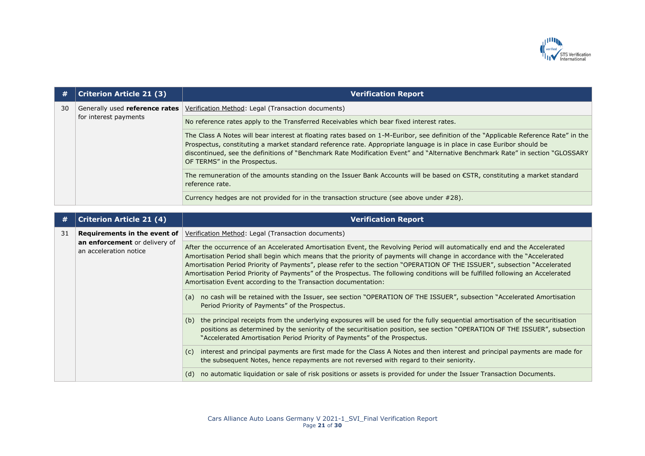

| #  | <b>Criterion Article 21 (3)</b>                         | <b>Verification Report</b>                                                                                                                                                                                                                                                                                                                                                                                                       |
|----|---------------------------------------------------------|----------------------------------------------------------------------------------------------------------------------------------------------------------------------------------------------------------------------------------------------------------------------------------------------------------------------------------------------------------------------------------------------------------------------------------|
| 30 | Generally used reference rates<br>for interest payments | Verification Method: Legal (Transaction documents)                                                                                                                                                                                                                                                                                                                                                                               |
|    |                                                         | No reference rates apply to the Transferred Receivables which bear fixed interest rates.                                                                                                                                                                                                                                                                                                                                         |
|    |                                                         | The Class A Notes will bear interest at floating rates based on 1-M-Euribor, see definition of the "Applicable Reference Rate" in the<br>Prospectus, constituting a market standard reference rate. Appropriate language is in place in case Euribor should be<br>discontinued, see the definitions of "Benchmark Rate Modification Event" and "Alternative Benchmark Rate" in section "GLOSSARY<br>OF TERMS" in the Prospectus. |
|    |                                                         | The remuneration of the amounts standing on the Issuer Bank Accounts will be based on €STR, constituting a market standard<br>reference rate.                                                                                                                                                                                                                                                                                    |
|    |                                                         | Currency hedges are not provided for in the transaction structure (see above under #28).                                                                                                                                                                                                                                                                                                                                         |

| #  | <b>Criterion Article 21 (4)</b>                                                                     | <b>Verification Report</b>                                                                                                                                                                                                                                                                                                                                                                                                                                                                                                                                                                  |
|----|-----------------------------------------------------------------------------------------------------|---------------------------------------------------------------------------------------------------------------------------------------------------------------------------------------------------------------------------------------------------------------------------------------------------------------------------------------------------------------------------------------------------------------------------------------------------------------------------------------------------------------------------------------------------------------------------------------------|
| 31 | Requirements in the event of $\parallel$<br>an enforcement or delivery of<br>an acceleration notice | Verification Method: Legal (Transaction documents)                                                                                                                                                                                                                                                                                                                                                                                                                                                                                                                                          |
|    |                                                                                                     | After the occurrence of an Accelerated Amortisation Event, the Revolving Period will automatically end and the Accelerated<br>Amortisation Period shall begin which means that the priority of payments will change in accordance with the "Accelerated"<br>Amortisation Period Priority of Payments", please refer to the section "OPERATION OF THE ISSUER", subsection "Accelerated<br>Amortisation Period Priority of Payments" of the Prospectus. The following conditions will be fulfilled following an Accelerated<br>Amortisation Event according to the Transaction documentation: |
|    |                                                                                                     | no cash will be retained with the Issuer, see section "OPERATION OF THE ISSUER", subsection "Accelerated Amortisation<br>(a)<br>Period Priority of Payments" of the Prospectus.                                                                                                                                                                                                                                                                                                                                                                                                             |
|    |                                                                                                     | the principal receipts from the underlying exposures will be used for the fully sequential amortisation of the securitisation<br>(b)<br>positions as determined by the seniority of the securitisation position, see section "OPERATION OF THE ISSUER", subsection<br>"Accelerated Amortisation Period Priority of Payments" of the Prospectus.                                                                                                                                                                                                                                             |
|    |                                                                                                     | interest and principal payments are first made for the Class A Notes and then interest and principal payments are made for<br>(C)<br>the subsequent Notes, hence repayments are not reversed with regard to their seniority.                                                                                                                                                                                                                                                                                                                                                                |
|    |                                                                                                     | no automatic liquidation or sale of risk positions or assets is provided for under the Issuer Transaction Documents.<br>(d)                                                                                                                                                                                                                                                                                                                                                                                                                                                                 |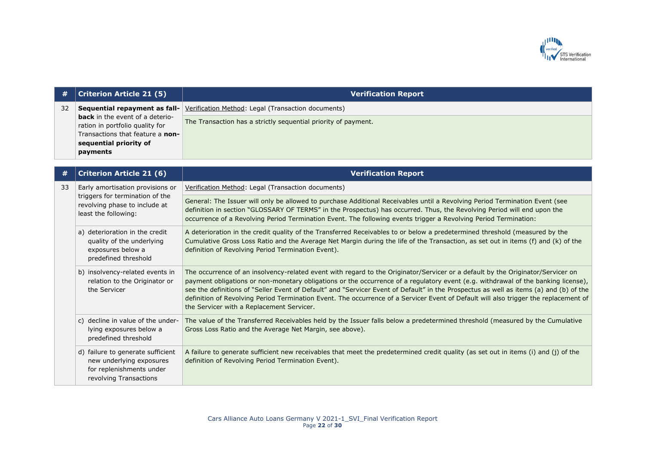

| #  | <b>Criterion Article 21 (5)</b>                                           | <b>Verification Report</b>                                                              |
|----|---------------------------------------------------------------------------|-----------------------------------------------------------------------------------------|
| 32 | <b>back</b> in the event of a deterio-<br>ration in portfolio quality for | <b>Sequential repayment as fall-</b> Verification Method: Legal (Transaction documents) |
|    |                                                                           | The Transaction has a strictly sequential priority of payment.                          |
|    | Transactions that feature a non-                                          |                                                                                         |
|    | sequential priority of                                                    |                                                                                         |
|    | payments                                                                  |                                                                                         |

| #  | <b>Criterion Article 21 (6)</b>                                                                                              | <b>Verification Report</b>                                                                                                                                                                                                                                                                                                                                                                                                                                                                                                                                                                          |
|----|------------------------------------------------------------------------------------------------------------------------------|-----------------------------------------------------------------------------------------------------------------------------------------------------------------------------------------------------------------------------------------------------------------------------------------------------------------------------------------------------------------------------------------------------------------------------------------------------------------------------------------------------------------------------------------------------------------------------------------------------|
| 33 | Early amortisation provisions or<br>triggers for termination of the<br>revolving phase to include at<br>least the following: | Verification Method: Legal (Transaction documents)                                                                                                                                                                                                                                                                                                                                                                                                                                                                                                                                                  |
|    |                                                                                                                              | General: The Issuer will only be allowed to purchase Additional Receivables until a Revolving Period Termination Event (see<br>definition in section "GLOSSARY OF TERMS" in the Prospectus) has occurred. Thus, the Revolving Period will end upon the<br>occurrence of a Revolving Period Termination Event. The following events trigger a Revolving Period Termination:                                                                                                                                                                                                                          |
|    | a) deterioration in the credit<br>quality of the underlying<br>exposures below a<br>predefined threshold                     | A deterioration in the credit quality of the Transferred Receivables to or below a predetermined threshold (measured by the<br>Cumulative Gross Loss Ratio and the Average Net Margin during the life of the Transaction, as set out in items (f) and (k) of the<br>definition of Revolving Period Termination Event).                                                                                                                                                                                                                                                                              |
|    | b) insolvency-related events in<br>relation to the Originator or<br>the Servicer                                             | The occurrence of an insolvency-related event with regard to the Originator/Servicer or a default by the Originator/Servicer on<br>payment obligations or non-monetary obligations or the occurrence of a regulatory event (e.g. withdrawal of the banking license),<br>see the definitions of "Seller Event of Default" and "Servicer Event of Default" in the Prospectus as well as items (a) and (b) of the<br>definition of Revolving Period Termination Event. The occurrence of a Servicer Event of Default will also trigger the replacement of<br>the Servicer with a Replacement Servicer. |
|    | c) decline in value of the under-<br>lying exposures below a<br>predefined threshold                                         | The value of the Transferred Receivables held by the Issuer falls below a predetermined threshold (measured by the Cumulative<br>Gross Loss Ratio and the Average Net Margin, see above).                                                                                                                                                                                                                                                                                                                                                                                                           |
|    | d) failure to generate sufficient<br>new underlying exposures<br>for replenishments under<br>revolving Transactions          | A failure to generate sufficient new receivables that meet the predetermined credit quality (as set out in items (i) and (j) of the<br>definition of Revolving Period Termination Event).                                                                                                                                                                                                                                                                                                                                                                                                           |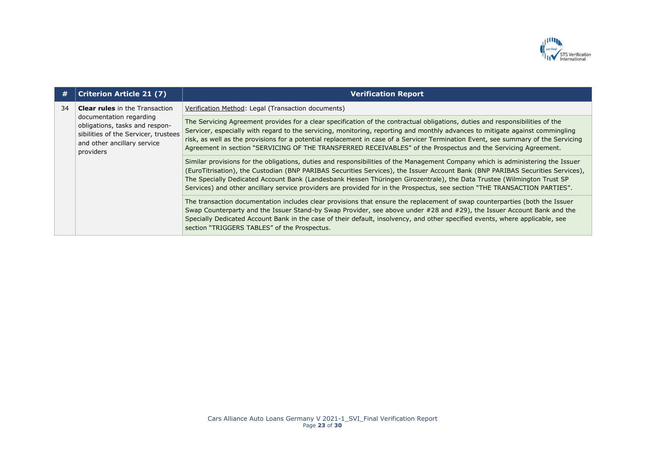

| #  | <b>Criterion Article 21 (7)</b>                                                                                                                                                        | <b>Verification Report</b>                                                                                                                                                                                                                                                                                                                                                                                                                                                                                                |
|----|----------------------------------------------------------------------------------------------------------------------------------------------------------------------------------------|---------------------------------------------------------------------------------------------------------------------------------------------------------------------------------------------------------------------------------------------------------------------------------------------------------------------------------------------------------------------------------------------------------------------------------------------------------------------------------------------------------------------------|
| 34 | <b>Clear rules</b> in the Transaction<br>documentation regarding<br>obligations, tasks and respon-<br>sibilities of the Servicer, trustees<br>and other ancillary service<br>providers | Verification Method: Legal (Transaction documents)                                                                                                                                                                                                                                                                                                                                                                                                                                                                        |
|    |                                                                                                                                                                                        | The Servicing Agreement provides for a clear specification of the contractual obligations, duties and responsibilities of the<br>Servicer, especially with regard to the servicing, monitoring, reporting and monthly advances to mitigate against commingling<br>risk, as well as the provisions for a potential replacement in case of a Servicer Termination Event, see summary of the Servicing<br>Agreement in section "SERVICING OF THE TRANSFERRED RECEIVABLES" of the Prospectus and the Servicing Agreement.     |
|    |                                                                                                                                                                                        | Similar provisions for the obligations, duties and responsibilities of the Management Company which is administering the Issuer<br>(EuroTitrisation), the Custodian (BNP PARIBAS Securities Services), the Issuer Account Bank (BNP PARIBAS Securities Services),<br>The Specially Dedicated Account Bank (Landesbank Hessen Thüringen Girozentrale), the Data Trustee (Wilmington Trust SP<br>Services) and other ancillary service providers are provided for in the Prospectus, see section "THE TRANSACTION PARTIES". |
|    |                                                                                                                                                                                        | The transaction documentation includes clear provisions that ensure the replacement of swap counterparties (both the Issuer<br>Swap Counterparty and the Issuer Stand-by Swap Provider, see above under #28 and #29), the Issuer Account Bank and the<br>Specially Dedicated Account Bank in the case of their default, insolvency, and other specified events, where applicable, see<br>section "TRIGGERS TABLES" of the Prospectus.                                                                                     |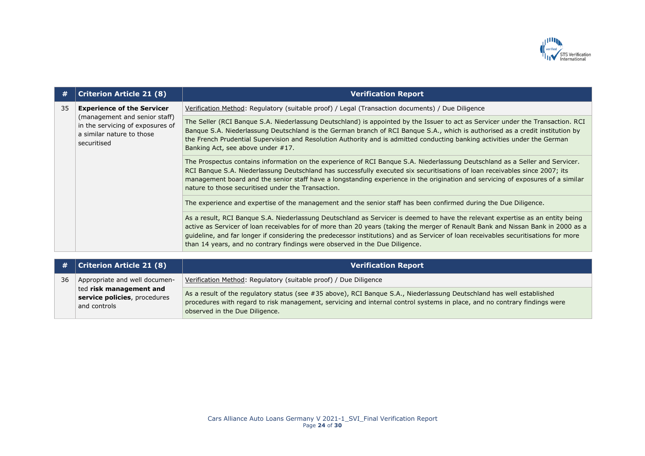

| #  | <b>Criterion Article 21 (8)</b>                                                                                                                    | <b>Verification Report</b>                                                                                                                                                                                                                                                                                                                                                                                                                                                               |
|----|----------------------------------------------------------------------------------------------------------------------------------------------------|------------------------------------------------------------------------------------------------------------------------------------------------------------------------------------------------------------------------------------------------------------------------------------------------------------------------------------------------------------------------------------------------------------------------------------------------------------------------------------------|
| 35 | <b>Experience of the Servicer</b><br>(management and senior staff)<br>in the servicing of exposures of<br>a similar nature to those<br>securitised | Verification Method: Regulatory (suitable proof) / Legal (Transaction documents) / Due Diligence                                                                                                                                                                                                                                                                                                                                                                                         |
|    |                                                                                                                                                    | The Seller (RCI Banque S.A. Niederlassung Deutschland) is appointed by the Issuer to act as Servicer under the Transaction. RCI<br>Banque S.A. Niederlassung Deutschland is the German branch of RCI Banque S.A., which is authorised as a credit institution by<br>the French Prudential Supervision and Resolution Authority and is admitted conducting banking activities under the German<br>Banking Act, see above under #17.                                                       |
|    |                                                                                                                                                    | The Prospectus contains information on the experience of RCI Bangue S.A. Niederlassung Deutschland as a Seller and Servicer.<br>RCI Banque S.A. Niederlassung Deutschland has successfully executed six securitisations of loan receivables since 2007; its<br>management board and the senior staff have a longstanding experience in the origination and servicing of exposures of a similar<br>nature to those securitised under the Transaction.                                     |
|    |                                                                                                                                                    | The experience and expertise of the management and the senior staff has been confirmed during the Due Diligence.                                                                                                                                                                                                                                                                                                                                                                         |
|    |                                                                                                                                                    | As a result, RCI Banque S.A. Niederlassung Deutschland as Servicer is deemed to have the relevant expertise as an entity being<br>active as Servicer of Ioan receivables for of more than 20 years (taking the merger of Renault Bank and Nissan Bank in 2000 as a<br>quideline, and far longer if considering the predecessor institutions) and as Servicer of loan receivables securitisations for more<br>than 14 years, and no contrary findings were observed in the Due Diligence. |
|    |                                                                                                                                                    |                                                                                                                                                                                                                                                                                                                                                                                                                                                                                          |

| #  | Criterion Article 21 (8)                                                | <b>Verification Report</b>                                                                                                                                                                                                                                                           |
|----|-------------------------------------------------------------------------|--------------------------------------------------------------------------------------------------------------------------------------------------------------------------------------------------------------------------------------------------------------------------------------|
| 36 | Appropriate and well documen-                                           | Verification Method: Regulatory (suitable proof) / Due Diligence                                                                                                                                                                                                                     |
|    | ted risk management and<br>service policies, procedures<br>and controls | As a result of the regulatory status (see #35 above), RCI Banque S.A., Niederlassung Deutschland has well established<br>procedures with regard to risk management, servicing and internal control systems in place, and no contrary findings were<br>observed in the Due Diligence. |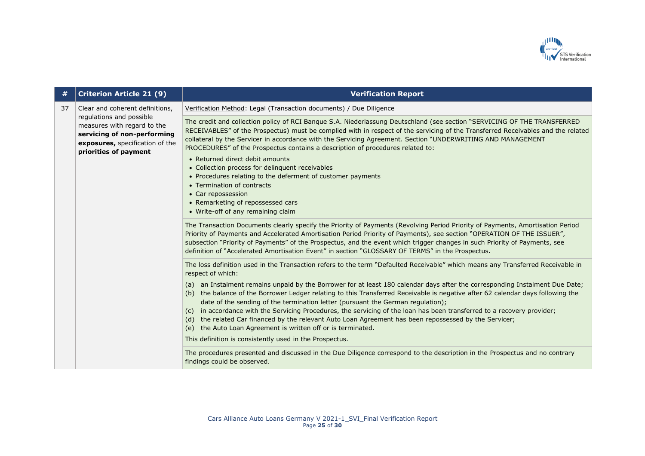

| #  | <b>Criterion Article 21 (9)</b>                                                                                                                    | <b>Verification Report</b>                                                                                                                                                                                                                                                                                                                                                                                                                                                                 |
|----|----------------------------------------------------------------------------------------------------------------------------------------------------|--------------------------------------------------------------------------------------------------------------------------------------------------------------------------------------------------------------------------------------------------------------------------------------------------------------------------------------------------------------------------------------------------------------------------------------------------------------------------------------------|
| 37 | Clear and coherent definitions,                                                                                                                    | Verification Method: Legal (Transaction documents) / Due Diligence                                                                                                                                                                                                                                                                                                                                                                                                                         |
|    | regulations and possible<br>measures with regard to the<br>servicing of non-performing<br>exposures, specification of the<br>priorities of payment | The credit and collection policy of RCI Banque S.A. Niederlassung Deutschland (see section "SERVICING OF THE TRANSFERRED<br>RECEIVABLES" of the Prospectus) must be complied with in respect of the servicing of the Transferred Receivables and the related<br>collateral by the Servicer in accordance with the Servicing Agreement. Section "UNDERWRITING AND MANAGEMENT<br>PROCEDURES" of the Prospectus contains a description of procedures related to:                              |
|    |                                                                                                                                                    | • Returned direct debit amounts<br>• Collection process for delinquent receivables<br>• Procedures relating to the deferment of customer payments                                                                                                                                                                                                                                                                                                                                          |
|    |                                                                                                                                                    | • Termination of contracts                                                                                                                                                                                                                                                                                                                                                                                                                                                                 |
|    |                                                                                                                                                    | • Car repossession<br>• Remarketing of repossessed cars<br>• Write-off of any remaining claim                                                                                                                                                                                                                                                                                                                                                                                              |
|    |                                                                                                                                                    | The Transaction Documents clearly specify the Priority of Payments (Revolving Period Priority of Payments, Amortisation Period<br>Priority of Payments and Accelerated Amortisation Period Priority of Payments), see section "OPERATION OF THE ISSUER",<br>subsection "Priority of Payments" of the Prospectus, and the event which trigger changes in such Priority of Payments, see<br>definition of "Accelerated Amortisation Event" in section "GLOSSARY OF TERMS" in the Prospectus. |
|    |                                                                                                                                                    | The loss definition used in the Transaction refers to the term "Defaulted Receivable" which means any Transferred Receivable in<br>respect of which:                                                                                                                                                                                                                                                                                                                                       |
|    |                                                                                                                                                    | (a) an Instalment remains unpaid by the Borrower for at least 180 calendar days after the corresponding Instalment Due Date;<br>the balance of the Borrower Ledger relating to this Transferred Receivable is negative after 62 calendar days following the<br>(b)<br>date of the sending of the termination letter (pursuant the German regulation);                                                                                                                                      |
|    |                                                                                                                                                    | in accordance with the Servicing Procedures, the servicing of the loan has been transferred to a recovery provider;<br>(c)<br>the related Car financed by the relevant Auto Loan Agreement has been repossessed by the Servicer;<br>(d)<br>the Auto Loan Agreement is written off or is terminated.<br>(e)                                                                                                                                                                                 |
|    |                                                                                                                                                    | This definition is consistently used in the Prospectus.                                                                                                                                                                                                                                                                                                                                                                                                                                    |
|    |                                                                                                                                                    | The procedures presented and discussed in the Due Diligence correspond to the description in the Prospectus and no contrary<br>findings could be observed.                                                                                                                                                                                                                                                                                                                                 |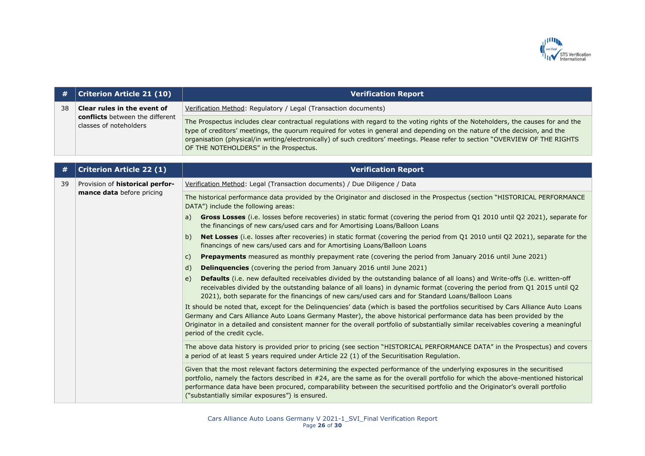

| #  | <b>Criterion Article 21 (10)</b>                                                                | <b>Verification Report</b>                                                                                                                                                                                                                                                                                                                                                                                                                  |
|----|-------------------------------------------------------------------------------------------------|---------------------------------------------------------------------------------------------------------------------------------------------------------------------------------------------------------------------------------------------------------------------------------------------------------------------------------------------------------------------------------------------------------------------------------------------|
| 38 | Clear rules in the event of<br><b>conflicts</b> between the different<br>classes of noteholders | Verification Method: Regulatory / Legal (Transaction documents)                                                                                                                                                                                                                                                                                                                                                                             |
|    |                                                                                                 | The Prospectus includes clear contractual regulations with regard to the voting rights of the Noteholders, the causes for and the<br>type of creditors' meetings, the quorum required for votes in general and depending on the nature of the decision, and the<br>organisation (physical/in writing/electronically) of such creditors' meetings. Please refer to section "OVERVIEW OF THE RIGHTS<br>OF THE NOTEHOLDERS" in the Prospectus. |
|    |                                                                                                 |                                                                                                                                                                                                                                                                                                                                                                                                                                             |
| #  | <b>Criterion Article 22 (1)</b>                                                                 | <b>Verification Report</b>                                                                                                                                                                                                                                                                                                                                                                                                                  |
| 39 | Provision of <b>historical perfor-</b><br>mance data before pricing                             | Verification Method: Legal (Transaction documents) / Due Diligence / Data                                                                                                                                                                                                                                                                                                                                                                   |
|    |                                                                                                 | The historical performance data provided by the Originator and disclosed in the Prospectus (section "HISTORICAL PERFORMANCE<br>DATA") include the following areas:                                                                                                                                                                                                                                                                          |
|    |                                                                                                 | Gross Losses (i.e. losses before recoveries) in static format (covering the period from Q1 2010 until Q2 2021), separate for<br>a)<br>the financings of new cars/used cars and for Amortising Loans/Balloon Loans                                                                                                                                                                                                                           |
|    |                                                                                                 | Net Losses (i.e. losses after recoveries) in static format (covering the period from Q1 2010 until Q2 2021), separate for the<br>b)<br>financings of new cars/used cars and for Amortising Loans/Balloon Loans                                                                                                                                                                                                                              |
|    |                                                                                                 | <b>Prepayments</b> measured as monthly prepayment rate (covering the period from January 2016 until June 2021)<br>C)                                                                                                                                                                                                                                                                                                                        |
|    |                                                                                                 | <b>Delinquencies</b> (covering the period from January 2016 until June 2021)<br>d)                                                                                                                                                                                                                                                                                                                                                          |
|    |                                                                                                 | Defaults (i.e. new defaulted receivables divided by the outstanding balance of all loans) and Write-offs (i.e. written-off<br>e)<br>receivables divided by the outstanding balance of all loans) in dynamic format (covering the period from Q1 2015 until Q2<br>2021), both separate for the financings of new cars/used cars and for Standard Loans/Balloon Loans                                                                         |

It should be noted that, except for the Delinquencies' data (which is based the portfolios securitised by Cars Alliance Auto Loans Germany and Cars Alliance Auto Loans Germany Master), the above historical performance data has been provided by the Originator in a detailed and consistent manner for the overall portfolio of substantially similar receivables covering a meaningful period of the credit cycle.

The above data history is provided prior to pricing (see section "HISTORICAL PERFORMANCE DATA" in the Prospectus) and covers a period of at least 5 years required under Article 22 (1) of the Securitisation Regulation.

Given that the most relevant factors determining the expected performance of the underlying exposures in the securitised portfolio, namely the factors described in #24, are the same as for the overall portfolio for which the above-mentioned historical performance data have been procured, comparability between the securitised portfolio and the Originator's overall portfolio ("substantially similar exposures") is ensured.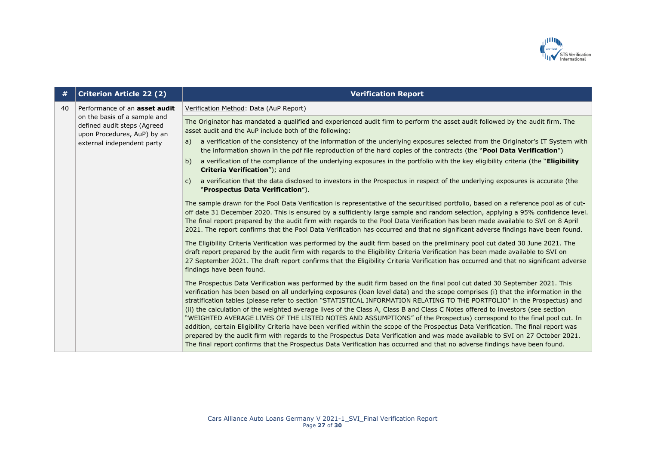

| #  | <b>Criterion Article 22 (2)</b>                                                            | <b>Verification Report</b>                                                                                                                                                                                                                                                                                                                                                                                                                                                                                                                                                                                                                                                                                                                                                                                                                                                                                                                                                                                                                                    |
|----|--------------------------------------------------------------------------------------------|---------------------------------------------------------------------------------------------------------------------------------------------------------------------------------------------------------------------------------------------------------------------------------------------------------------------------------------------------------------------------------------------------------------------------------------------------------------------------------------------------------------------------------------------------------------------------------------------------------------------------------------------------------------------------------------------------------------------------------------------------------------------------------------------------------------------------------------------------------------------------------------------------------------------------------------------------------------------------------------------------------------------------------------------------------------|
| 40 | Performance of an <b>asset audit</b>                                                       | Verification Method: Data (AuP Report)                                                                                                                                                                                                                                                                                                                                                                                                                                                                                                                                                                                                                                                                                                                                                                                                                                                                                                                                                                                                                        |
|    | on the basis of a sample and<br>defined audit steps (Agreed<br>upon Procedures, AuP) by an | The Originator has mandated a qualified and experienced audit firm to perform the asset audit followed by the audit firm. The<br>asset audit and the AuP include both of the following:                                                                                                                                                                                                                                                                                                                                                                                                                                                                                                                                                                                                                                                                                                                                                                                                                                                                       |
|    | external independent party                                                                 | a verification of the consistency of the information of the underlying exposures selected from the Originator's IT System with<br>a)<br>the information shown in the pdf file reproduction of the hard copies of the contracts (the "Pool Data Verification")                                                                                                                                                                                                                                                                                                                                                                                                                                                                                                                                                                                                                                                                                                                                                                                                 |
|    |                                                                                            | a verification of the compliance of the underlying exposures in the portfolio with the key eligibility criteria (the "Eligibility<br>b)<br>Criteria Verification"); and                                                                                                                                                                                                                                                                                                                                                                                                                                                                                                                                                                                                                                                                                                                                                                                                                                                                                       |
|    |                                                                                            | a verification that the data disclosed to investors in the Prospectus in respect of the underlying exposures is accurate (the<br>C)<br>"Prospectus Data Verification").                                                                                                                                                                                                                                                                                                                                                                                                                                                                                                                                                                                                                                                                                                                                                                                                                                                                                       |
|    |                                                                                            | The sample drawn for the Pool Data Verification is representative of the securitised portfolio, based on a reference pool as of cut-<br>off date 31 December 2020. This is ensured by a sufficiently large sample and random selection, applying a 95% confidence level.<br>The final report prepared by the audit firm with regards to the Pool Data Verification has been made available to SVI on 8 April<br>2021. The report confirms that the Pool Data Verification has occurred and that no significant adverse findings have been found.                                                                                                                                                                                                                                                                                                                                                                                                                                                                                                              |
|    |                                                                                            | The Eligibility Criteria Verification was performed by the audit firm based on the preliminary pool cut dated 30 June 2021. The<br>draft report prepared by the audit firm with regards to the Eligibility Criteria Verification has been made available to SVI on<br>27 September 2021. The draft report confirms that the Eligibility Criteria Verification has occurred and that no significant adverse<br>findings have been found.                                                                                                                                                                                                                                                                                                                                                                                                                                                                                                                                                                                                                       |
|    |                                                                                            | The Prospectus Data Verification was performed by the audit firm based on the final pool cut dated 30 September 2021. This<br>verification has been based on all underlying exposures (loan level data) and the scope comprises (i) that the information in the<br>stratification tables (please refer to section "STATISTICAL INFORMATION RELATING TO THE PORTFOLIO" in the Prospectus) and<br>(ii) the calculation of the weighted average lives of the Class A, Class B and Class C Notes offered to investors (see section<br>"WEIGHTED AVERAGE LIVES OF THE LISTED NOTES AND ASSUMPTIONS" of the Prospectus) correspond to the final pool cut. In<br>addition, certain Eligibility Criteria have been verified within the scope of the Prospectus Data Verification. The final report was<br>prepared by the audit firm with regards to the Prospectus Data Verification and was made available to SVI on 27 October 2021.<br>The final report confirms that the Prospectus Data Verification has occurred and that no adverse findings have been found. |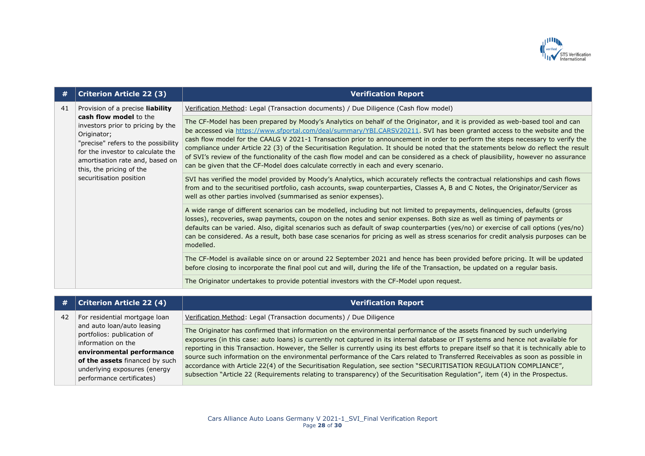

| #  | <b>Criterion Article 22 (3)</b>                                                                                                                                                                                                                                                      | <b>Verification Report</b>                                                                                                                                                                                                                                                                                                                                                                                                                                                                                                                                                                                                                                                                                                                                       |
|----|--------------------------------------------------------------------------------------------------------------------------------------------------------------------------------------------------------------------------------------------------------------------------------------|------------------------------------------------------------------------------------------------------------------------------------------------------------------------------------------------------------------------------------------------------------------------------------------------------------------------------------------------------------------------------------------------------------------------------------------------------------------------------------------------------------------------------------------------------------------------------------------------------------------------------------------------------------------------------------------------------------------------------------------------------------------|
| 41 | Provision of a precise liability<br>cash flow model to the<br>investors prior to pricing by the<br>Originator;<br>"precise" refers to the possibility<br>for the investor to calculate the<br>amortisation rate and, based on<br>this, the pricing of the<br>securitisation position | Verification Method: Legal (Transaction documents) / Due Diligence (Cash flow model)                                                                                                                                                                                                                                                                                                                                                                                                                                                                                                                                                                                                                                                                             |
|    |                                                                                                                                                                                                                                                                                      | The CF-Model has been prepared by Moody's Analytics on behalf of the Originator, and it is provided as web-based tool and can<br>be accessed via https://www.sfportal.com/deal/summary/YBI.CARSV20211. SVI has been granted access to the website and the<br>cash flow model for the CAALG V 2021-1 Transaction prior to announcement in order to perform the steps necessary to verify the<br>compliance under Article 22 (3) of the Securitisation Regulation. It should be noted that the statements below do reflect the result<br>of SVI's review of the functionality of the cash flow model and can be considered as a check of plausibility, however no assurance<br>can be given that the CF-Model does calculate correctly in each and every scenario. |
|    |                                                                                                                                                                                                                                                                                      | SVI has verified the model provided by Moody's Analytics, which accurately reflects the contractual relationships and cash flows<br>from and to the securitised portfolio, cash accounts, swap counterparties, Classes A, B and C Notes, the Originator/Servicer as<br>well as other parties involved (summarised as senior expenses).                                                                                                                                                                                                                                                                                                                                                                                                                           |
|    |                                                                                                                                                                                                                                                                                      | A wide range of different scenarios can be modelled, including but not limited to prepayments, delinquencies, defaults (gross<br>losses), recoveries, swap payments, coupon on the notes and senior expenses. Both size as well as timing of payments or<br>defaults can be varied. Also, digital scenarios such as default of swap counterparties (yes/no) or exercise of call options (yes/no)<br>can be considered. As a result, both base case scenarios for pricing as well as stress scenarios for credit analysis purposes can be<br>modelled.                                                                                                                                                                                                            |
|    |                                                                                                                                                                                                                                                                                      | The CF-Model is available since on or around 22 September 2021 and hence has been provided before pricing. It will be updated<br>before closing to incorporate the final pool cut and will, during the life of the Transaction, be updated on a regular basis.                                                                                                                                                                                                                                                                                                                                                                                                                                                                                                   |
|    |                                                                                                                                                                                                                                                                                      | The Originator undertakes to provide potential investors with the CF-Model upon request.                                                                                                                                                                                                                                                                                                                                                                                                                                                                                                                                                                                                                                                                         |

| #  | <b>Criterion Article 22 (4)</b>                                                                                                                                                                            | <b>Verification Report</b>                                                                                                                                                                                                                                                                                                                                                                                                                                                                                                                                                                                                                                                                                                                                                                            |
|----|------------------------------------------------------------------------------------------------------------------------------------------------------------------------------------------------------------|-------------------------------------------------------------------------------------------------------------------------------------------------------------------------------------------------------------------------------------------------------------------------------------------------------------------------------------------------------------------------------------------------------------------------------------------------------------------------------------------------------------------------------------------------------------------------------------------------------------------------------------------------------------------------------------------------------------------------------------------------------------------------------------------------------|
| 42 | For residential mortgage loan                                                                                                                                                                              | Verification Method: Legal (Transaction documents) / Due Diligence                                                                                                                                                                                                                                                                                                                                                                                                                                                                                                                                                                                                                                                                                                                                    |
|    | and auto loan/auto leasing<br>portfolios: publication of<br>information on the<br>environmental performance<br>of the assets financed by such<br>underlying exposures (energy<br>performance certificates) | The Originator has confirmed that information on the environmental performance of the assets financed by such underlying<br>exposures (in this case: auto loans) is currently not captured in its internal database or IT systems and hence not available for<br>reporting in this Transaction. However, the Seller is currently using its best efforts to prepare itself so that it is technically able to<br>source such information on the environmental performance of the Cars related to Transferred Receivables as soon as possible in<br>accordance with Article 22(4) of the Securitisation Regulation, see section "SECURITISATION REGULATION COMPLIANCE",<br>subsection "Article 22 (Requirements relating to transparency) of the Securitisation Regulation", item (4) in the Prospectus. |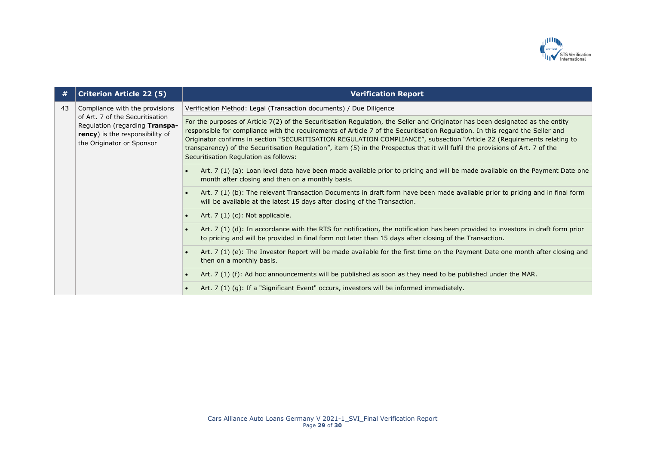

| #  | <b>Criterion Article 22 (5)</b>                                                                                                                                     | <b>Verification Report</b>                                                                                                                                                                                                                                                                                                                                                                                                                                                                                                                                             |
|----|---------------------------------------------------------------------------------------------------------------------------------------------------------------------|------------------------------------------------------------------------------------------------------------------------------------------------------------------------------------------------------------------------------------------------------------------------------------------------------------------------------------------------------------------------------------------------------------------------------------------------------------------------------------------------------------------------------------------------------------------------|
| 43 | Compliance with the provisions<br>of Art. 7 of the Securitisation<br>Regulation (regarding Transpa-<br>rency) is the responsibility of<br>the Originator or Sponsor | Verification Method: Legal (Transaction documents) / Due Diligence                                                                                                                                                                                                                                                                                                                                                                                                                                                                                                     |
|    |                                                                                                                                                                     | For the purposes of Article 7(2) of the Securitisation Regulation, the Seller and Originator has been designated as the entity<br>responsible for compliance with the requirements of Article 7 of the Securitisation Regulation. In this regard the Seller and<br>Originator confirms in section "SECURITISATION REGULATION COMPLIANCE", subsection "Article 22 (Requirements relating to<br>transparency) of the Securitisation Regulation", item (5) in the Prospectus that it will fulfil the provisions of Art. 7 of the<br>Securitisation Regulation as follows: |
|    |                                                                                                                                                                     | Art. 7 (1) (a): Loan level data have been made available prior to pricing and will be made available on the Payment Date one<br>month after closing and then on a monthly basis.                                                                                                                                                                                                                                                                                                                                                                                       |
|    |                                                                                                                                                                     | Art. 7 (1) (b): The relevant Transaction Documents in draft form have been made available prior to pricing and in final form<br>will be available at the latest 15 days after closing of the Transaction.                                                                                                                                                                                                                                                                                                                                                              |
|    |                                                                                                                                                                     | Art. $7(1)(c)$ : Not applicable.<br>$\bullet$                                                                                                                                                                                                                                                                                                                                                                                                                                                                                                                          |
|    |                                                                                                                                                                     | Art. 7 (1) (d): In accordance with the RTS for notification, the notification has been provided to investors in draft form prior<br>to pricing and will be provided in final form not later than 15 days after closing of the Transaction.                                                                                                                                                                                                                                                                                                                             |
|    |                                                                                                                                                                     | Art. 7 (1) (e): The Investor Report will be made available for the first time on the Payment Date one month after closing and<br>then on a monthly basis.                                                                                                                                                                                                                                                                                                                                                                                                              |
|    |                                                                                                                                                                     | Art. 7 (1) (f): Ad hoc announcements will be published as soon as they need to be published under the MAR.                                                                                                                                                                                                                                                                                                                                                                                                                                                             |
|    |                                                                                                                                                                     | Art. 7 (1) (g): If a "Significant Event" occurs, investors will be informed immediately.                                                                                                                                                                                                                                                                                                                                                                                                                                                                               |